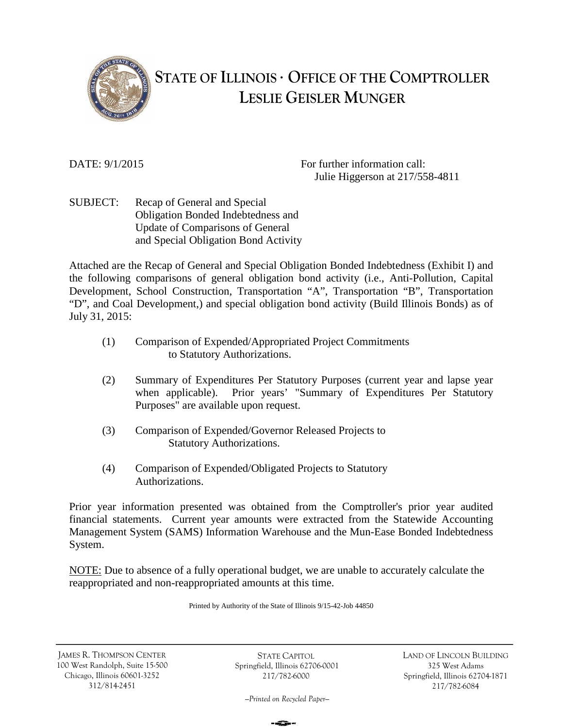

# **STATE OF ILLINOIS OFFICE OF THE COMPTROLLER LESLIE GEISLER MUNGER**

DATE:  $9/1/2015$  For further information call: Julie Higgerson at 217/558-4811

SUBJECT: Recap of General and Special Obligation Bonded Indebtedness and Update of Comparisons of General and Special Obligation Bond Activity

Attached are the Recap of General and Special Obligation Bonded Indebtedness (Exhibit I) and the following comparisons of general obligation bond activity (i.e., Anti-Pollution, Capital Development, School Construction, Transportation "A", Transportation "B", Transportation "D", and Coal Development,) and special obligation bond activity (Build Illinois Bonds) as of July 31, 2015:

- (1) Comparison of Expended/Appropriated Project Commitments to Statutory Authorizations.
- (2) Summary of Expenditures Per Statutory Purposes (current year and lapse year when applicable). Prior years' "Summary of Expenditures Per Statutory Purposes" are available upon request.
- (3) Comparison of Expended/Governor Released Projects to Statutory Authorizations.
- (4) Comparison of Expended/Obligated Projects to Statutory Authorizations.

Prior year information presented was obtained from the Comptroller's prior year audited financial statements. Current year amounts were extracted from the Statewide Accounting Management System (SAMS) Information Warehouse and the Mun-Ease Bonded Indebtedness System.

NOTE: Due to absence of a fully operational budget, we are unable to accurately calculate the reappropriated and non-reappropriated amounts at this time.

Printed by Authority of the State of Illinois 9/15-42-Job 44850

JAMES R. THOMPSON CENTER 100 West Randolph, Suite 15-500 Chicago, Illinois 60601-3252 312/814-2451

STATE CAPITOL Springfield, Illinois 62706-0001 217/782-6000

LAND OF LINCOLN BUILDING 325 West Adams Springfield, Illinois 62704-1871 217/782-6084

*—Printed on Recycled Paper—*

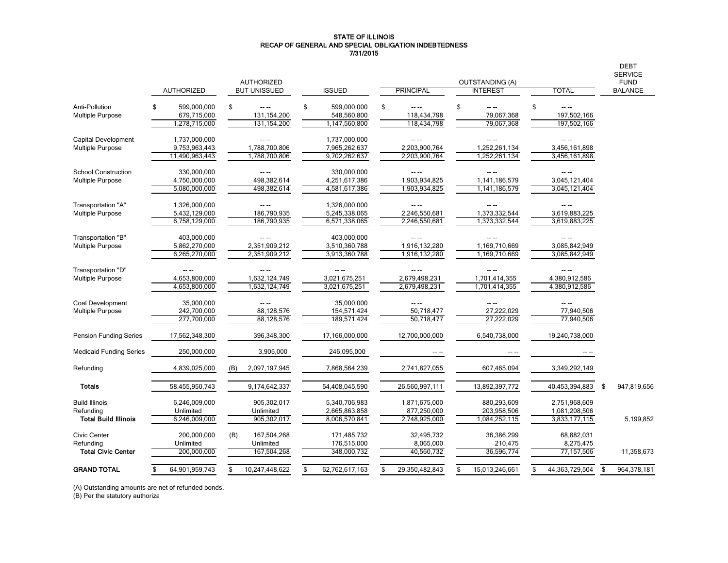#### STATE OF ILLINOIS RECAP OF GENERAL AND SPECIAL OBLIGATION INDEBTEDNESS 7/31/2015

|                                    |                                 |                      |                                  |                            |                           |                              | <b>DEBT</b><br><b>SERVICE</b> |
|------------------------------------|---------------------------------|----------------------|----------------------------------|----------------------------|---------------------------|------------------------------|-------------------------------|
|                                    |                                 | <b>AUTHORIZED</b>    |                                  |                            | <b>OUTSTANDING (A)</b>    |                              | <b>FUND</b>                   |
|                                    | <b>AUTHORIZED</b>               | <b>BUT UNISSUED</b>  | <b>ISSUED</b>                    | <b>PRINCIPAL</b>           | <b>INTEREST</b>           | TOTAL                        | <b>BALANCE</b>                |
| Anti-Pollution<br>Multiple Purpose | 599,000,000<br>S<br>679,715,000 | \$<br>131,154,200    | \$<br>599,000,000<br>548,560,800 | \$<br>-- --<br>118,434,798 | \$<br>-- --<br>79,067,368 | \$<br>$- - -$<br>197,502,166 |                               |
|                                    | 1,278,715,000                   | 131, 154, 200        | 1,147,560,800                    | 118,434,798                | 79,067,368                | 197,502,166                  |                               |
| Capital Development                | 1,737,000,000                   | $- - -$              | 1,737,000,000                    | $\sim$ $\sim$              | -- --                     | -- --                        |                               |
| <b>Multiple Purpose</b>            | 9,753,963,443                   | 1,788,700,806        | 7,965,262,637                    | 2,203,900,764              | 1,252,261,134             | 3,456,161,898                |                               |
|                                    | 11,490,963,443                  | 1,788,700,806        | 9,702,262,637                    | 2,203,900,764              | 1,252,261,134             | 3,456,161,898                |                               |
| <b>School Construction</b>         | 330,000,000                     | $\sim$ $\sim$        | 330,000,000                      |                            | -- --                     | $- - -$                      |                               |
| <b>Multiple Purpose</b>            | 4,750,000,000                   | 498,382,614          | 4,251,617,386                    | 1,903,934,825              | 1,141,186,579             | 3,045,121,404                |                               |
|                                    | 5,080,000,000                   | 498,382,614          | 4,581,617,386                    | 1,903,934,825              | 1,141,186,579             | 3,045,121,404                |                               |
| Transportation "A"                 | 1,326,000,000                   |                      | 1,326,000,000                    | $- - -$                    |                           |                              |                               |
| <b>Multiple Purpose</b>            | 5,432,129,000                   | 186,790,935          | 5,245,338,065                    | 2,246,550,681              | 1,373,332,544             | 3,619,883,225                |                               |
|                                    | 6,758,129,000                   | 186,790,935          | 6,571,338,065                    | 2,246,550,681              | 1,373,332,544             | 3,619,883,225                |                               |
| Transportation "B"                 | 403,000,000                     | $\sim$ $\sim$        | 403,000,000                      |                            |                           |                              |                               |
| <b>Multiple Purpose</b>            | 5,862,270,000                   | 2,351,909,212        | 3,510,360,788                    | 1,916,132,280              | 1,169,710,669             | 3,085,842,949                |                               |
|                                    | 6,265,270,000                   | 2,351,909,212        | 3,913,360,788                    | 1,916,132,280              | 1,169,710,669             | 3,085,842,949                |                               |
| Transportation "D"                 |                                 |                      |                                  |                            |                           |                              |                               |
| <b>Multiple Purpose</b>            | 4.653.800.000                   | 1,632,124,749        | 3,021,675,251                    | 2,679,498,231              | 1,701,414,355             | 4,380,912,586                |                               |
|                                    | 4,653,800,000                   | 1,632,124,749        | 3,021,675,251                    | 2,679,498,231              | 1,701,414,355             | 4,380,912,586                |                               |
| Coal Development                   | 35,000,000                      | $\sim$ $\sim$        | 35,000,000                       |                            |                           |                              |                               |
| <b>Multiple Purpose</b>            | 242,700,000                     | 88,128,576           | 154,571,424                      | 50,718,477                 | 27,222,029                | 77,940,506                   |                               |
|                                    | 277,700,000                     | 88,128,576           | 189,571,424                      | 50,718,477                 | 27,222,029                | 77,940,506                   |                               |
| <b>Pension Funding Series</b>      | 17,562,348,300                  | 396,348,300          | 17,166,000,000                   | 12,700,000,000             | 6,540,738,000             | 19,240,738,000               |                               |
| <b>Medicaid Funding Series</b>     | 250,000,000                     | 3,905,000            | 246,095,000                      |                            |                           |                              |                               |
| Refunding                          | 4,839,025,000                   | 2,097,197,945<br>(B) | 7,868,564,239                    | 2,741,827,055              | 607,465,094               | 3,349,292,149                |                               |
| <b>Totals</b>                      | 58,455,950,743                  | 9,174,642,337        | 54,408,045,590                   | 26,560,997,111             | 13,892,397,772            | 40,453,394,883               | 947,819,656<br>S              |
| <b>Build Illinois</b>              | 6,246,009,000                   | 905,302,017          | 5,340,706,983                    | 1,871,675,000              | 880,293,609               | 2,751,968,609                |                               |
| Refundina                          | Unlimited                       | Unlimited            | 2,665,863,858                    | 877,250,000                | 203,958,506               | 1,081,208,506                |                               |
| <b>Total Build Illinois</b>        | 6,246,009,000                   | 905,302,017          | 8,006,570,841                    | 2,748,925,000              | 1,084,252,115             | 3,833,177,115                | 5,199,852                     |
| Civic Center                       | 200,000,000                     | 167,504,268<br>(B)   | 171,485,732                      | 32,495,732                 | 36,386,299                | 68,882,031                   |                               |
| Refundina                          | Unlimited                       | Unlimited            | 176,515,000                      | 8,065,000                  | 210,475                   | 8,275,475                    |                               |
| <b>Total Civic Center</b>          | 200,000,000                     | 167,504,268          | 348,000,732                      | 40,560,732                 | 36,596,774                | 77,157,506                   | 11,358,673                    |
| <b>GRAND TOTAL</b>                 | 64,901,959,743                  | 10,247,448,622       | 62,762,617,163                   | 29,350,482,843             | 15,013,246,661            | 44,363,729,504               | 964,378,181<br>\$             |

(A) Outstanding amounts are net of refunded bonds.

(B) Per the statutory authoriza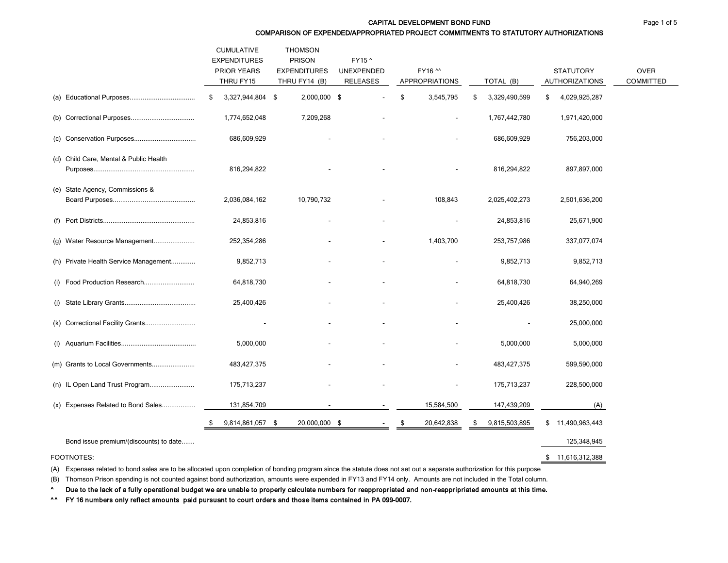#### CAPITAL DEVELOPMENT BOND FUND **CAPITAL DEVELOPMENT BOND FUND**

COMPARISON OF EXPENDED/APPROPRIATED PROJECT COMMITMENTS TO STATUTORY AUTHORIZATIONS

|                                        | <b>CUMULATIVE</b><br><b>EXPENDITURES</b><br>PRIOR YEARS<br>THRU FY15 | <b>THOMSON</b><br><b>PRISON</b><br><b>EXPENDITURES</b><br>THRU FY14 (B) | FY15 ^<br><b>UNEXPENDED</b><br><b>RELEASES</b> | FY16 ^^<br><b>APPROPRIATIONS</b> | TOTAL (B)           | <b>STATUTORY</b><br><b>AUTHORIZATIONS</b> | <b>OVER</b><br><b>COMMITTED</b> |
|----------------------------------------|----------------------------------------------------------------------|-------------------------------------------------------------------------|------------------------------------------------|----------------------------------|---------------------|-------------------------------------------|---------------------------------|
|                                        | 3,327,944,804 \$<br>\$                                               | 2,000,000 \$                                                            |                                                | \$<br>3,545,795                  | 3,329,490,599<br>\$ | 4,029,925,287<br>\$                       |                                 |
|                                        | 1,774,652,048                                                        | 7,209,268                                                               |                                                | $\overline{\phantom{a}}$         | 1,767,442,780       | 1,971,420,000                             |                                 |
|                                        | 686,609,929                                                          |                                                                         |                                                |                                  | 686,609,929         | 756,203,000                               |                                 |
| (d) Child Care, Mental & Public Health | 816,294,822                                                          |                                                                         |                                                |                                  | 816,294,822         | 897,897,000                               |                                 |
| (e) State Agency, Commissions &        | 2,036,084,162                                                        | 10,790,732                                                              |                                                | 108,843                          | 2,025,402,273       | 2,501,636,200                             |                                 |
|                                        | 24,853,816                                                           |                                                                         |                                                |                                  | 24,853,816          | 25,671,900                                |                                 |
| (g) Water Resource Management          | 252,354,286                                                          |                                                                         |                                                | 1,403,700                        | 253,757,986         | 337,077,074                               |                                 |
| (h) Private Health Service Management  | 9,852,713                                                            |                                                                         |                                                |                                  | 9,852,713           | 9,852,713                                 |                                 |
| (i) Food Production Research           | 64,818,730                                                           |                                                                         |                                                |                                  | 64,818,730          | 64,940,269                                |                                 |
|                                        | 25,400,426                                                           |                                                                         |                                                |                                  | 25,400,426          | 38,250,000                                |                                 |
| (k) Correctional Facility Grants       |                                                                      |                                                                         |                                                |                                  |                     | 25,000,000                                |                                 |
|                                        | 5,000,000                                                            |                                                                         |                                                |                                  | 5,000,000           | 5,000,000                                 |                                 |
| (m) Grants to Local Governments        | 483, 427, 375                                                        |                                                                         |                                                |                                  | 483, 427, 375       | 599,590,000                               |                                 |
| (n) IL Open Land Trust Program         | 175,713,237                                                          |                                                                         |                                                |                                  | 175,713,237         | 228,500,000                               |                                 |
| (x) Expenses Related to Bond Sales     | 131,854,709                                                          |                                                                         |                                                | 15,584,500                       | 147,439,209         | (A)                                       |                                 |
|                                        | 9,814,861,057 \$                                                     | 20,000,000 \$                                                           |                                                | 20,642,838                       | 9,815,503,895<br>\$ | \$<br>11,490,963,443                      |                                 |
| Bond issue premium/(discounts) to date |                                                                      |                                                                         |                                                |                                  |                     | 125,348,945                               |                                 |

# FOOTNOTES: \$ 11,616,312,388

(A) Expenses related to bond sales are to be allocated upon completion of bonding program since the statute does not set out a separate authorization for this purpose

(B) Thomson Prison spending is not counted against bond authorization, amounts were expended in FY13 and FY14 only. Amounts are not included in the Total column.

^ Due to the lack of a fully operational budget we are unable to properly calculate numbers for reappropriated and non-reappripriated amounts at this time.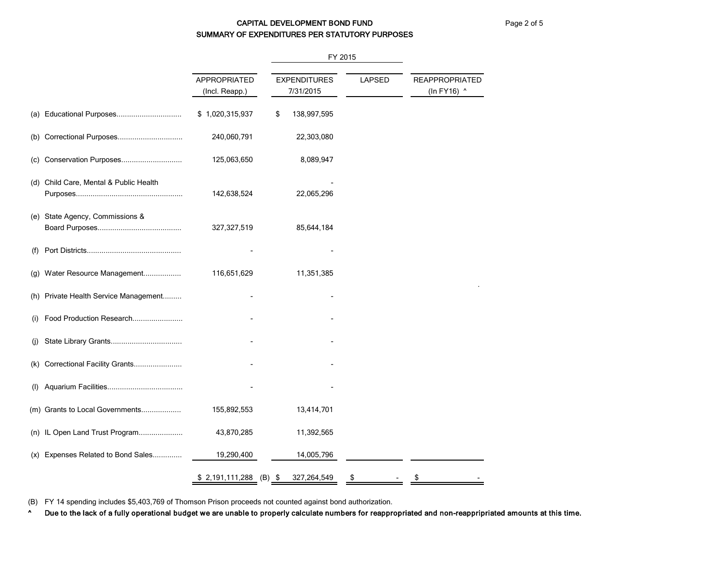# CAPITAL DEVELOPMENT BOND FUND Page 2 of 5 SUMMARY OF EXPENDITURES PER STATUTORY PURPOSES

FY 2015 APPROPRIATED EXPENDITURES LAPSED REAPPROPRIATED (Incl. Reapp.) 7/31/2015 (In FY16) ^ (a) Educational Purposes............................... \$ 1,020,315,937 \$ 138,997,595 (b) Correctional Purposes............................... 240,060,791 22,303,080 (c) Conservation Purposes............................. 125,063,650 8,089,947 (d) Child Care, Mental & Public Health Purposes................................................... 142,638,524 22,065,296 (e) State Agency, Commissions & Board Purposes........................................ 327,327,519 85,644,184 (f) Port Districts............................................. - - (g) Water Resource Management.................. 116,651,629 11,351,385 . (h) Private Health Service Management......... (i) Food Production Research....................... (j) State Library Grants.................................. - - (k) Correctional Facility Grants....................... - - (l) Aquarium Facilities.................................... - - (m) Grants to Local Governments................... 155,892,553 13,414,701 (n) IL Open Land Trust Program..................... 43,870,285 11,392,565 (x) Expenses Related to Bond Sales.............. 19,290,400 14,005,796  $$2,191,111,288$  (B) \$ 327,264,549 \$ - \$

(B) FY 14 spending includes \$5,403,769 of Thomson Prison proceeds not counted against bond authorization.

^ Due to the lack of a fully operational budget we are unable to properly calculate numbers for reappropriated and non-reappripriated amounts at this time.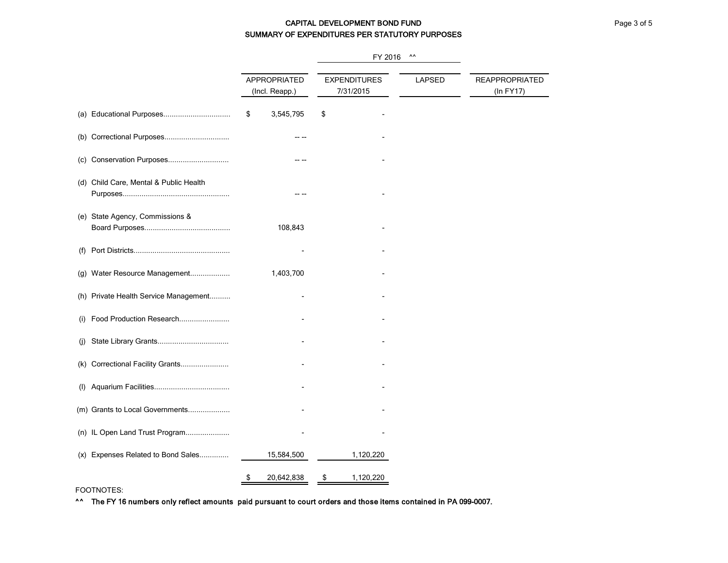# CAPITAL DEVELOPMENT BOND FUND **CAPITAL DEVELOPMENT BOND FUND** SUMMARY OF EXPENDITURES PER STATUTORY PURPOSES

|                                        |                                | FY 2016                          | $\Lambda\Lambda$ |                                    |  |  |
|----------------------------------------|--------------------------------|----------------------------------|------------------|------------------------------------|--|--|
|                                        | APPROPRIATED<br>(Incl. Reapp.) | <b>EXPENDITURES</b><br>7/31/2015 | <b>LAPSED</b>    | <b>REAPPROPRIATED</b><br>(In FY17) |  |  |
| (a) Educational Purposes               | \$<br>3,545,795                | \$                               |                  |                                    |  |  |
|                                        |                                |                                  |                  |                                    |  |  |
|                                        |                                |                                  |                  |                                    |  |  |
| (d) Child Care, Mental & Public Health |                                |                                  |                  |                                    |  |  |
| (e) State Agency, Commissions &        | 108,843                        |                                  |                  |                                    |  |  |
| (f)                                    |                                |                                  |                  |                                    |  |  |
| (g) Water Resource Management          | 1,403,700                      |                                  |                  |                                    |  |  |
| (h) Private Health Service Management  |                                |                                  |                  |                                    |  |  |
| Food Production Research<br>(i)        |                                |                                  |                  |                                    |  |  |
| (i)                                    |                                |                                  |                  |                                    |  |  |
| (k) Correctional Facility Grants       |                                |                                  |                  |                                    |  |  |
| (1)                                    |                                |                                  |                  |                                    |  |  |
| (m) Grants to Local Governments        |                                |                                  |                  |                                    |  |  |
| (n) IL Open Land Trust Program         |                                |                                  |                  |                                    |  |  |
| (x) Expenses Related to Bond Sales     | 15,584,500                     | 1,120,220                        |                  |                                    |  |  |
|                                        | 20,642,838<br>\$               | 1,120,220<br>\$                  |                  |                                    |  |  |

FOOTNOTES: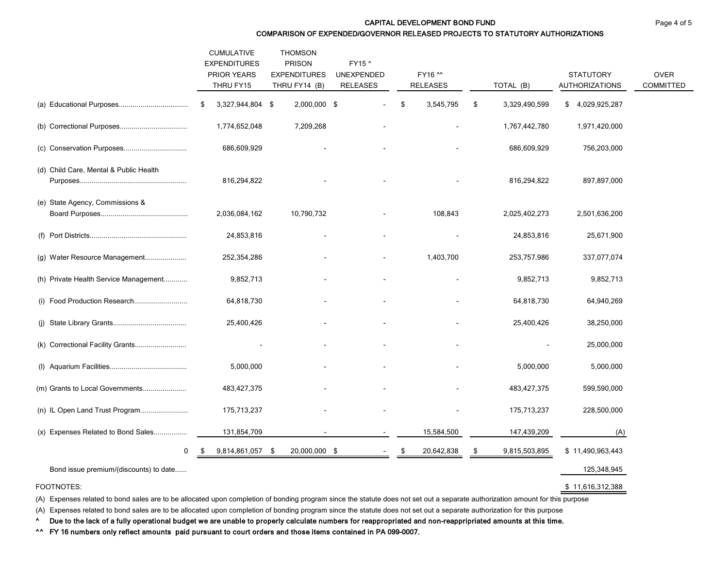CAPITAL DEVELOPMENT BOND FUND **FUND Page 4 of 5** 

COMPARISON OF EXPENDED/GOVERNOR RELEASED PROJECTS TO STATUTORY AUTHORIZATIONS

|                                        | <b>CUMULATIVE</b><br><b>EXPENDITURES</b><br>PRIOR YEARS<br>THRU FY15 | <b>THOMSON</b><br><b>PRISON</b><br><b>EXPENDITURES</b><br>THRU FY14 (B) | FY15 ^<br>UNEXPENDED<br><b>RELEASES</b> | FY16 ^^<br><b>RELEASES</b> | TOTAL (B)           | <b>STATUTORY</b><br><b>AUTHORIZATIONS</b> | <b>OVER</b><br><b>COMMITTED</b> |
|----------------------------------------|----------------------------------------------------------------------|-------------------------------------------------------------------------|-----------------------------------------|----------------------------|---------------------|-------------------------------------------|---------------------------------|
|                                        | 3,327,944,804 \$<br>\$                                               | 2,000,000 \$                                                            |                                         | 3,545,795<br>\$            | 3,329,490,599<br>\$ | 4,029,925,287<br>\$                       |                                 |
|                                        | 1,774,652,048                                                        | 7,209,268                                                               |                                         |                            | 1,767,442,780       | 1,971,420,000                             |                                 |
|                                        | 686,609,929                                                          |                                                                         |                                         |                            | 686,609,929         | 756,203,000                               |                                 |
| (d) Child Care, Mental & Public Health | 816,294,822                                                          |                                                                         |                                         |                            | 816,294,822         | 897,897,000                               |                                 |
| (e) State Agency, Commissions &        | 2,036,084,162                                                        | 10,790,732                                                              |                                         | 108,843                    | 2,025,402,273       | 2,501,636,200                             |                                 |
|                                        | 24,853,816                                                           |                                                                         |                                         |                            | 24,853,816          | 25,671,900                                |                                 |
| (g) Water Resource Management          | 252,354,286                                                          |                                                                         |                                         | 1,403,700                  | 253,757,986         | 337,077,074                               |                                 |
| (h) Private Health Service Management  | 9,852,713                                                            |                                                                         |                                         |                            | 9,852,713           | 9,852,713                                 |                                 |
| (i) Food Production Research           | 64,818,730                                                           |                                                                         |                                         |                            | 64,818,730          | 64,940,269                                |                                 |
|                                        | 25,400,426                                                           |                                                                         |                                         |                            | 25,400,426          | 38,250,000                                |                                 |
| (k) Correctional Facility Grants       |                                                                      |                                                                         |                                         |                            |                     | 25,000,000                                |                                 |
|                                        | 5,000,000                                                            |                                                                         |                                         |                            | 5,000,000           | 5,000,000                                 |                                 |
| (m) Grants to Local Governments        | 483, 427, 375                                                        |                                                                         |                                         |                            | 483, 427, 375       | 599,590,000                               |                                 |
| (n) IL Open Land Trust Program         | 175,713,237                                                          |                                                                         |                                         |                            | 175,713,237         | 228,500,000                               |                                 |
| (x) Expenses Related to Bond Sales     | 131,854,709                                                          |                                                                         | $\sim$                                  | 15,584,500                 | 147,439,209         | (A)                                       |                                 |
| 0                                      | 9,814,861,057 \$                                                     | 20,000,000 \$                                                           |                                         | 20,642,838                 | 9,815,503,895<br>\$ | \$11,490,963,443                          |                                 |
| Bond issue premium/(discounts) to date |                                                                      |                                                                         |                                         |                            |                     | 125,348,945                               |                                 |

FOOTNOTES: \$ 11,616,312,388

(A) Expenses related to bond sales are to be allocated upon completion of bonding program since the statute does not set out a separate authorization amount for this purpose

(A) Expenses related to bond sales are to be allocated upon completion of bonding program since the statute does not set out a separate authorization for this purpose

^ Due to the lack of a fully operational budget we are unable to properly calculate numbers for reappropriated and non-reappripriated amounts at this time.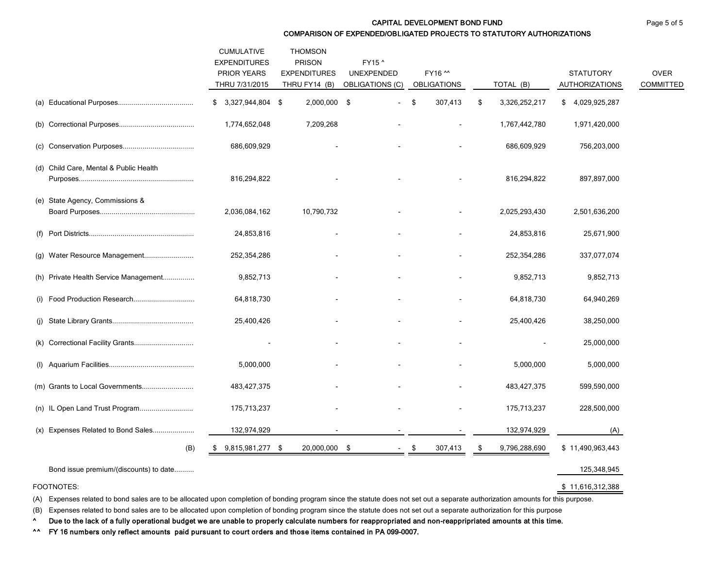#### CAPITAL DEVELOPMENT BOND FUND **FUND Page 5 of 5** COMPARISON OF EXPENDED/OBLIGATED PROJECTS TO STATUTORY AUTHORIZATIONS

|                                        | <b>CUMULATIVE</b><br><b>EXPENDITURES</b><br><b>PRIOR YEARS</b><br>THRU 7/31/2015 | <b>THOMSON</b><br><b>PRISON</b><br><b>EXPENDITURES</b><br>THRU FY14 (B) | FY15 ^<br>UNEXPENDED<br><b>OBLIGATIONS (C)</b> | FY16 ^^<br><b>OBLIGATIONS</b> | TOTAL (B)            | <b>STATUTORY</b><br><b>AUTHORIZATIONS</b> | <b>OVER</b><br><b>COMMITTED</b> |
|----------------------------------------|----------------------------------------------------------------------------------|-------------------------------------------------------------------------|------------------------------------------------|-------------------------------|----------------------|-------------------------------------------|---------------------------------|
|                                        | $$3,327,944,804$ \$                                                              | 2,000,000                                                               | -\$                                            | \$<br>307,413                 | \$<br>3,326,252,217  | \$4,029,925,287                           |                                 |
|                                        | 1,774,652,048                                                                    | 7,209,268                                                               |                                                | $\blacksquare$                | 1,767,442,780        | 1,971,420,000                             |                                 |
|                                        | 686,609,929                                                                      |                                                                         |                                                |                               | 686,609,929          | 756,203,000                               |                                 |
| (d) Child Care, Mental & Public Health | 816,294,822                                                                      |                                                                         |                                                |                               | 816,294,822          | 897,897,000                               |                                 |
| (e) State Agency, Commissions &        | 2,036,084,162                                                                    | 10,790,732                                                              |                                                |                               | 2,025,293,430        | 2,501,636,200                             |                                 |
|                                        | 24,853,816                                                                       |                                                                         |                                                |                               | 24,853,816           | 25,671,900                                |                                 |
| (g) Water Resource Management          | 252,354,286                                                                      |                                                                         |                                                |                               | 252,354,286          | 337,077,074                               |                                 |
| (h) Private Health Service Management  | 9,852,713                                                                        |                                                                         |                                                |                               | 9,852,713            | 9,852,713                                 |                                 |
| (i) Food Production Research           | 64,818,730                                                                       |                                                                         |                                                |                               | 64,818,730           | 64,940,269                                |                                 |
|                                        | 25,400,426                                                                       |                                                                         |                                                |                               | 25,400,426           | 38,250,000                                |                                 |
| (k) Correctional Facility Grants       |                                                                                  |                                                                         |                                                |                               |                      | 25,000,000                                |                                 |
|                                        | 5,000,000                                                                        |                                                                         |                                                |                               | 5,000,000            | 5,000,000                                 |                                 |
| (m) Grants to Local Governments        | 483, 427, 375                                                                    |                                                                         |                                                |                               | 483, 427, 375        | 599,590,000                               |                                 |
| (n) IL Open Land Trust Program         | 175,713,237                                                                      |                                                                         |                                                | $\blacksquare$                | 175,713,237          | 228,500,000                               |                                 |
| (x) Expenses Related to Bond Sales     | 132,974,929                                                                      |                                                                         |                                                |                               | 132,974,929          | (A)                                       |                                 |
| (B)                                    | 9,815,981,277 \$                                                                 | 20,000,000 \$                                                           | $\sim$                                         | 307,413<br>- \$               | 9,796,288,690<br>-\$ | \$11,490,963,443                          |                                 |
| Bond issue premium/(discounts) to date |                                                                                  |                                                                         |                                                |                               |                      | 125,348,945                               |                                 |

FOOTNOTES: \$ 11,616,312,388

(A) Expenses related to bond sales are to be allocated upon completion of bonding program since the statute does not set out a separate authorization amounts for this purpose.

(B) Expenses related to bond sales are to be allocated upon completion of bonding program since the statute does not set out a separate authorization for this purpose

^ Due to the lack of a fully operational budget we are unable to properly calculate numbers for reappropriated and non-reappripriated amounts at this time.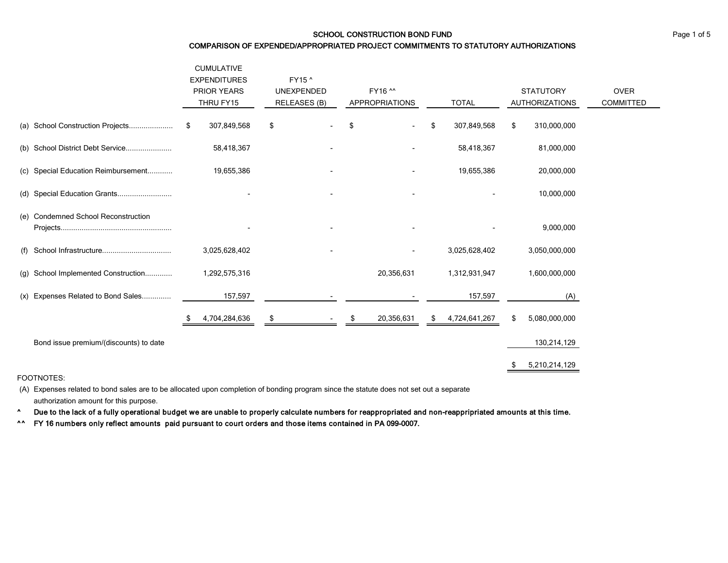#### SCHOOL CONSTRUCTION BOND FUND **EXAMPLE 2008** Page 1 of 5

#### COMPARISON OF EXPENDED/APPROPRIATED PROJECT COMMITMENTS TO STATUTORY AUTHORIZATIONS

|                                        | <b>CUMULATIVE</b><br><b>EXPENDITURES</b><br><b>PRIOR YEARS</b><br>THRU FY15 | FY15 ^<br><b>UNEXPENDED</b><br><b>RELEASES (B)</b> | FY16 ^^<br><b>APPROPRIATIONS</b> | <b>TOTAL</b>        | <b>STATUTORY</b><br><b>AUTHORIZATIONS</b> | <b>OVER</b><br><b>COMMITTED</b> |
|----------------------------------------|-----------------------------------------------------------------------------|----------------------------------------------------|----------------------------------|---------------------|-------------------------------------------|---------------------------------|
| (a) School Construction Projects       | 307,849,568<br>S                                                            | \$                                                 | \$<br>$\overline{\phantom{a}}$   | \$<br>307,849,568   | \$<br>310,000,000                         |                                 |
| (b) School District Debt Service       | 58,418,367                                                                  |                                                    |                                  | 58,418,367          | 81,000,000                                |                                 |
| (c) Special Education Reimbursement    | 19,655,386                                                                  |                                                    |                                  | 19,655,386          | 20,000,000                                |                                 |
| (d) Special Education Grants           |                                                                             |                                                    | $\blacksquare$                   |                     | 10,000,000                                |                                 |
| (e) Condemned School Reconstruction    |                                                                             |                                                    |                                  |                     | 9,000,000                                 |                                 |
| (f)                                    | 3,025,628,402                                                               |                                                    | ۰                                | 3,025,628,402       | 3,050,000,000                             |                                 |
| School Implemented Construction<br>(g) | 1,292,575,316                                                               |                                                    | 20,356,631                       | 1,312,931,947       | 1,600,000,000                             |                                 |
| (x) Expenses Related to Bond Sales     | 157,597                                                                     |                                                    |                                  | 157,597             | (A)                                       |                                 |
|                                        | 4,704,284,636                                                               | \$                                                 | 20,356,631                       | 4,724,641,267<br>\$ | \$<br>5,080,000,000                       |                                 |
| Bond issue premium/(discounts) to date |                                                                             |                                                    |                                  |                     | 130,214,129                               |                                 |
|                                        |                                                                             |                                                    |                                  |                     | 5,210,214,129                             |                                 |

#### FOOTNOTES:

(A) Expenses related to bond sales are to be allocated upon completion of bonding program since the statute does not set out a separate authorization amount for this purpose.

^ Due to the lack of a fully operational budget we are unable to properly calculate numbers for reappropriated and non-reappripriated amounts at this time.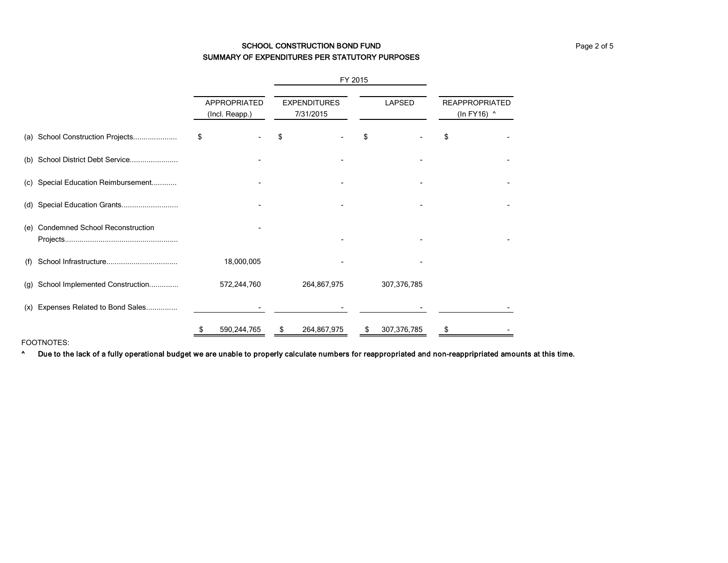# SCHOOL CONSTRUCTION BOND FUND **EXAMPLE 2** of 5 SUMMARY OF EXPENDITURES PER STATUTORY PURPOSES

|     |                                        |                                |  | FY 2015                          |    |               |                                      |  |
|-----|----------------------------------------|--------------------------------|--|----------------------------------|----|---------------|--------------------------------------|--|
|     |                                        | APPROPRIATED<br>(Incl. Reapp.) |  | <b>EXPENDITURES</b><br>7/31/2015 |    | <b>LAPSED</b> | <b>REAPPROPRIATED</b><br>(In FY16) ^ |  |
| (a) | School Construction Projects           | \$                             |  |                                  |    |               | S                                    |  |
| (b) | School District Debt Service           |                                |  |                                  |    |               |                                      |  |
| (c) | Special Education Reimbursement        |                                |  |                                  |    |               |                                      |  |
| (d) | Special Education Grants               |                                |  |                                  |    |               |                                      |  |
| (e) | <b>Condemned School Reconstruction</b> |                                |  |                                  |    |               |                                      |  |
| (f) |                                        | 18,000,005                     |  |                                  |    |               |                                      |  |
| (g) | School Implemented Construction        | 572,244,760                    |  | 264,867,975                      |    | 307,376,785   |                                      |  |
| (x) | Expenses Related to Bond Sales         |                                |  |                                  |    |               |                                      |  |
|     |                                        | 590,244,765                    |  | 264,867,975                      | \$ | 307,376,785   |                                      |  |

FOOTNOTES:

^ Due to the lack of a fully operational budget we are unable to properly calculate numbers for reappropriated and non-reappripriated amounts at this time.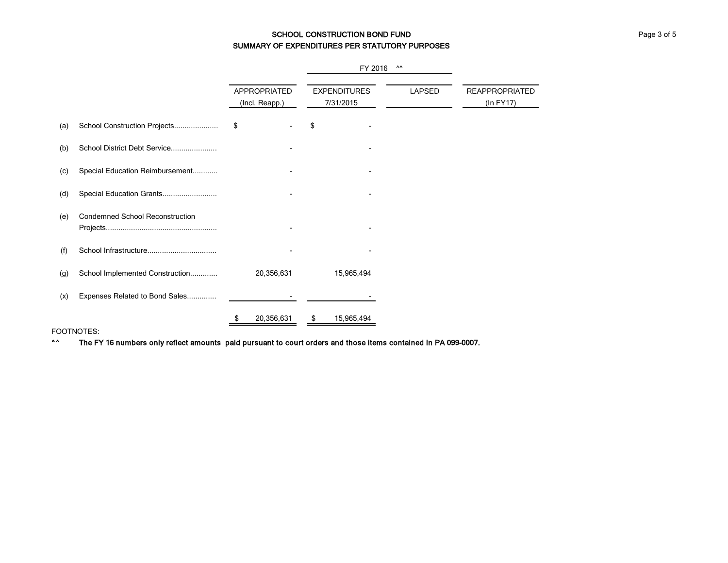# SCHOOL CONSTRUCTION BOND FUND **EXAMPLE 2008** Page 3 of 5 SUMMARY OF EXPENDITURES PER STATUTORY PURPOSES

|     |                                        |    |                                |                                  | FY 2016    | $\Lambda\Lambda$ |                                    |
|-----|----------------------------------------|----|--------------------------------|----------------------------------|------------|------------------|------------------------------------|
|     |                                        |    | APPROPRIATED<br>(Incl. Reapp.) | <b>EXPENDITURES</b><br>7/31/2015 |            | <b>LAPSED</b>    | <b>REAPPROPRIATED</b><br>(In FY17) |
| (a) | School Construction Projects           | \$ |                                | \$                               |            |                  |                                    |
| (b) | School District Debt Service           |    |                                |                                  |            |                  |                                    |
| (c) | Special Education Reimbursement        |    |                                |                                  |            |                  |                                    |
| (d) | Special Education Grants               |    |                                |                                  |            |                  |                                    |
| (e) | <b>Condemned School Reconstruction</b> |    |                                |                                  |            |                  |                                    |
| (f) |                                        |    |                                |                                  |            |                  |                                    |
| (g) | School Implemented Construction        |    | 20,356,631                     |                                  | 15,965,494 |                  |                                    |
| (x) | Expenses Related to Bond Sales         |    |                                |                                  |            |                  |                                    |
|     |                                        | S  | 20,356,631                     | \$                               | 15,965,494 |                  |                                    |

#### FOOTNOTES: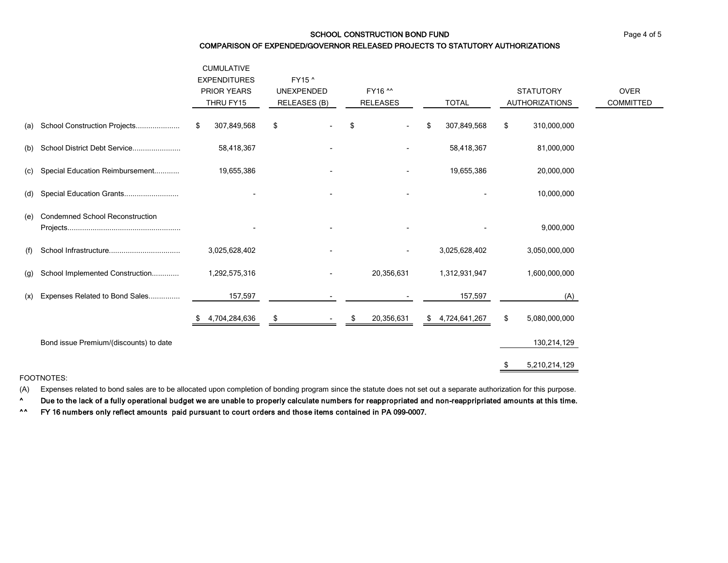### SCHOOL CONSTRUCTION BOND FUND **EXAMPLE 2001** Page 4 of 5

#### COMPARISON OF EXPENDED/GOVERNOR RELEASED PROJECTS TO STATUTORY AUTHORIZATIONS

|     |                                        | <b>CUMULATIVE</b><br><b>EXPENDITURES</b><br><b>PRIOR YEARS</b><br>THRU FY15 | FY15 ^<br><b>UNEXPENDED</b><br>RELEASES (B) | FY16 ^^<br><b>RELEASES</b> | <b>TOTAL</b>        | <b>STATUTORY</b><br><b>AUTHORIZATIONS</b> | <b>OVER</b><br>COMMITTED |
|-----|----------------------------------------|-----------------------------------------------------------------------------|---------------------------------------------|----------------------------|---------------------|-------------------------------------------|--------------------------|
| (a) | School Construction Projects           | 307,849,568<br>S                                                            | \$                                          | \$<br>$\blacksquare$       | 307,849,568         | 310,000,000<br>\$                         |                          |
| (b) | School District Debt Service           | 58,418,367                                                                  |                                             |                            | 58,418,367          | 81,000,000                                |                          |
| (C) | Special Education Reimbursement        | 19,655,386                                                                  |                                             |                            | 19,655,386          | 20,000,000                                |                          |
| (d) | Special Education Grants               |                                                                             |                                             |                            |                     | 10,000,000                                |                          |
| (e) | <b>Condemned School Reconstruction</b> |                                                                             |                                             |                            |                     | 9,000,000                                 |                          |
| (f) |                                        | 3,025,628,402                                                               | $\blacksquare$                              | $\blacksquare$             | 3,025,628,402       | 3,050,000,000                             |                          |
| (g) | School Implemented Construction        | 1,292,575,316                                                               | $\sim$                                      | 20,356,631                 | 1,312,931,947       | 1,600,000,000                             |                          |
| (x) | Expenses Related to Bond Sales         | 157,597                                                                     |                                             |                            | 157,597             | (A)                                       |                          |
|     |                                        | 4,704,284,636                                                               | \$                                          | 20,356,631<br>\$           | 4,724,641,267<br>\$ | 5,080,000,000<br>\$                       |                          |
|     | Bond issue Premium/(discounts) to date |                                                                             |                                             |                            |                     | 130,214,129                               |                          |
|     |                                        |                                                                             |                                             |                            |                     | 5,210,214,129                             |                          |

#### FOOTNOTES:

(A) Expenses related to bond sales are to be allocated upon completion of bonding program since the statute does not set out a separate authorization for this purpose.

^ Due to the lack of a fully operational budget we are unable to properly calculate numbers for reappropriated and non-reappripriated amounts at this time.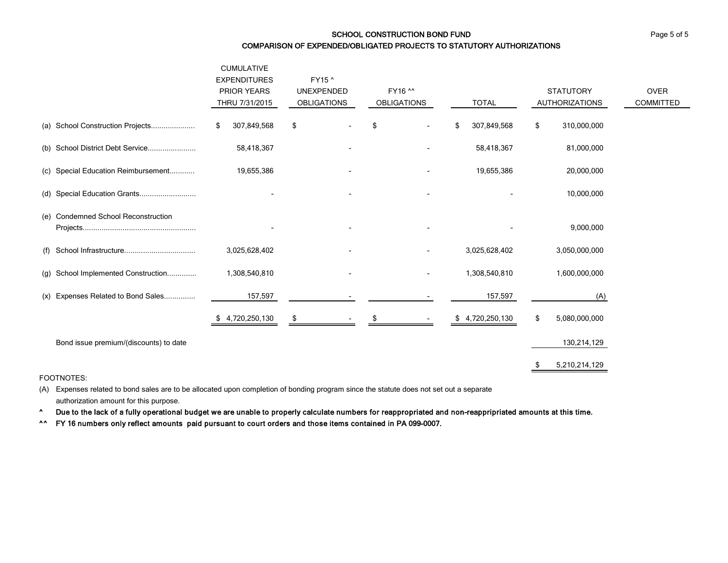# SCHOOL CONSTRUCTION BOND FUND **EXAMPLE 2008** Page 5 of 5 COMPARISON OF EXPENDED/OBLIGATED PROJECTS TO STATUTORY AUTHORIZATIONS

|     |                                        | <b>CUMULATIVE</b><br><b>EXPENDITURES</b><br><b>PRIOR YEARS</b><br>THRU 7/31/2015 | FY15 ^<br><b>UNEXPENDED</b><br><b>OBLIGATIONS</b> | FY16 ^^<br><b>OBLIGATIONS</b> | <b>TOTAL</b>     | <b>STATUTORY</b><br><b>AUTHORIZATIONS</b> | <b>OVER</b><br><b>COMMITTED</b> |
|-----|----------------------------------------|----------------------------------------------------------------------------------|---------------------------------------------------|-------------------------------|------------------|-------------------------------------------|---------------------------------|
|     | (a) School Construction Projects       | 307,849,568<br>\$                                                                | \$                                                | \$                            | 307,849,568<br>S | \$<br>310,000,000                         |                                 |
|     | (b) School District Debt Service       | 58,418,367                                                                       |                                                   |                               | 58,418,367       | 81,000,000                                |                                 |
|     | (c) Special Education Reimbursement    | 19,655,386                                                                       |                                                   |                               | 19,655,386       | 20,000,000                                |                                 |
|     | (d) Special Education Grants           |                                                                                  |                                                   |                               |                  | 10,000,000                                |                                 |
| (e) | <b>Condemned School Reconstruction</b> |                                                                                  |                                                   |                               |                  | 9,000,000                                 |                                 |
|     |                                        | 3,025,628,402                                                                    |                                                   |                               | 3,025,628,402    | 3,050,000,000                             |                                 |
|     | (g) School Implemented Construction    | 1,308,540,810                                                                    |                                                   |                               | 1,308,540,810    | 1,600,000,000                             |                                 |
|     | (x) Expenses Related to Bond Sales     | 157,597                                                                          |                                                   |                               | 157,597          | (A)                                       |                                 |
|     |                                        | \$4,720,250,130                                                                  | \$                                                |                               | \$4,720,250,130  | \$<br>5,080,000,000                       |                                 |
|     | Bond issue premium/(discounts) to date |                                                                                  |                                                   |                               |                  | 130,214,129                               |                                 |
|     |                                        |                                                                                  |                                                   |                               |                  | 5,210,214,129                             |                                 |

#### FOOTNOTES:

(A) Expenses related to bond sales are to be allocated upon completion of bonding program since the statute does not set out a separate authorization amount for this purpose.

^ Due to the lack of a fully operational budget we are unable to properly calculate numbers for reappropriated and non-reappripriated amounts at this time.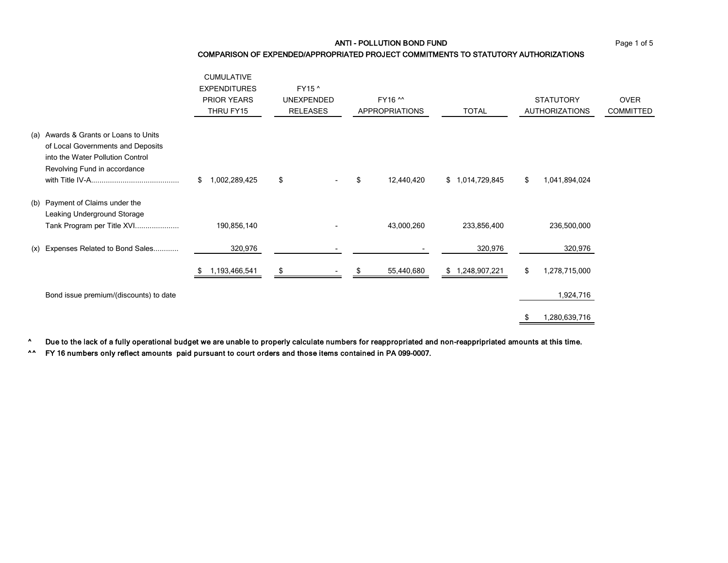ANTI - POLLUTION BOND FUND Page 1 of 5

COMPARISON OF EXPENDED/APPROPRIATED PROJECT COMMITMENTS TO STATUTORY AUTHORIZATIONS

|                                                                                                                                                | <b>CUMULATIVE</b><br><b>EXPENDITURES</b><br><b>PRIOR YEARS</b><br>THRU FY15 | FY15 ^<br><b>UNEXPENDED</b><br><b>RELEASES</b> | FY16 ^^<br><b>APPROPRIATIONS</b> | <b>TOTAL</b>       | <b>STATUTORY</b><br><b>AUTHORIZATIONS</b> | <b>OVER</b><br><b>COMMITTED</b> |
|------------------------------------------------------------------------------------------------------------------------------------------------|-----------------------------------------------------------------------------|------------------------------------------------|----------------------------------|--------------------|-------------------------------------------|---------------------------------|
| (a) Awards & Grants or Loans to Units<br>of Local Governments and Deposits<br>into the Water Pollution Control<br>Revolving Fund in accordance | 1,002,289,425<br>\$                                                         | \$                                             | 12,440,420<br>\$                 | \$1,014,729,845    | \$<br>1,041,894,024                       |                                 |
| (b) Payment of Claims under the<br>Leaking Underground Storage<br>Tank Program per Title XVI                                                   | 190,856,140                                                                 |                                                | 43,000,260                       | 233,856,400        | 236,500,000                               |                                 |
| (x) Expenses Related to Bond Sales                                                                                                             | 320,976                                                                     |                                                |                                  | 320,976            | 320,976                                   |                                 |
|                                                                                                                                                | 1,193,466,541                                                               | \$                                             | 55,440,680                       | 1,248,907,221<br>S | \$<br>1,278,715,000                       |                                 |
| Bond issue premium/(discounts) to date                                                                                                         |                                                                             |                                                |                                  |                    | 1,924,716                                 |                                 |
|                                                                                                                                                |                                                                             |                                                |                                  |                    | 1,280,639,716                             |                                 |

^ Due to the lack of a fully operational budget we are unable to properly calculate numbers for reappropriated and non-reappripriated amounts at this time.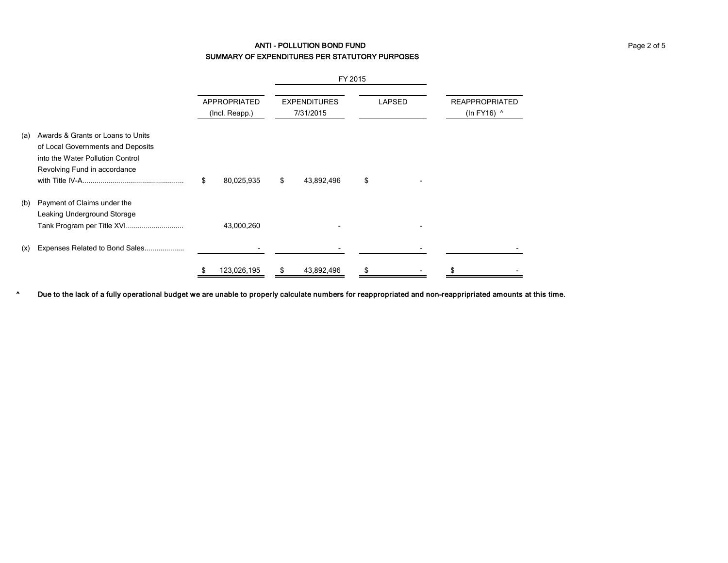# ANTI - POLLUTION BOND FUND Page 2 of 5 SUMMARY OF EXPENDITURES PER STATUTORY PURPOSES

|     |                                                                                                                                            |                                |    | FY 2015                          |               |  |                                      |  |
|-----|--------------------------------------------------------------------------------------------------------------------------------------------|--------------------------------|----|----------------------------------|---------------|--|--------------------------------------|--|
|     |                                                                                                                                            | APPROPRIATED<br>(Incl. Reapp.) |    | <b>EXPENDITURES</b><br>7/31/2015 | <b>LAPSED</b> |  | <b>REAPPROPRIATED</b><br>(In FY16) ^ |  |
| (a) | Awards & Grants or Loans to Units<br>of Local Governments and Deposits<br>into the Water Pollution Control<br>Revolving Fund in accordance | \$<br>80,025,935               | \$ | 43,892,496                       | \$            |  |                                      |  |
| (b) | Payment of Claims under the<br>Leaking Underground Storage<br>Tank Program per Title XVI                                                   | 43,000,260                     |    |                                  |               |  |                                      |  |
| (x) | Expenses Related to Bond Sales                                                                                                             |                                |    |                                  |               |  |                                      |  |
|     |                                                                                                                                            | 123,026,195                    |    | 43,892,496                       |               |  |                                      |  |

^ Due to the lack of a fully operational budget we are unable to properly calculate numbers for reappropriated and non-reappripriated amounts at this time.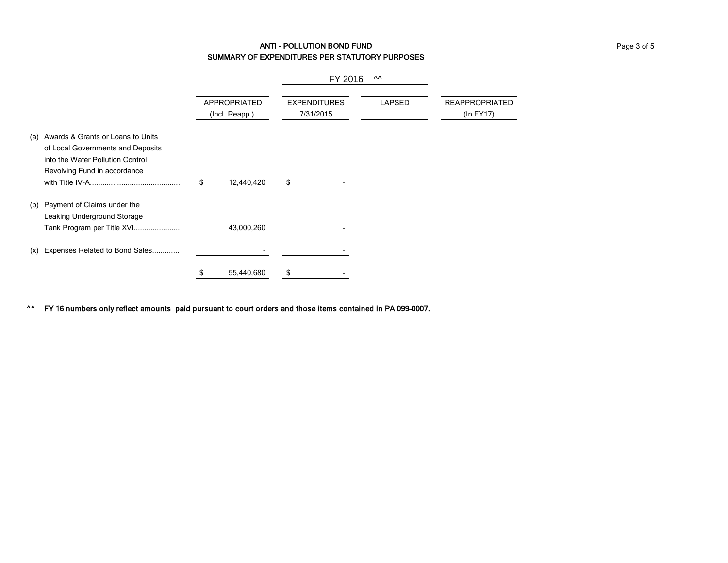# ANTI - POLLUTION BOND FUND Page 3 of 5 SUMMARY OF EXPENDITURES PER STATUTORY PURPOSES

|                                                                                                                                                   |    | FY 2016<br>ᄊ                   |    |                                                   |  |                                    |  |
|---------------------------------------------------------------------------------------------------------------------------------------------------|----|--------------------------------|----|---------------------------------------------------|--|------------------------------------|--|
|                                                                                                                                                   |    | APPROPRIATED<br>(Incl. Reapp.) |    | <b>LAPSED</b><br><b>EXPENDITURES</b><br>7/31/2015 |  | <b>REAPPROPRIATED</b><br>(ln FY17) |  |
| Awards & Grants or Loans to Units<br>(a)<br>of Local Governments and Deposits<br>into the Water Pollution Control<br>Revolving Fund in accordance | \$ | 12,440,420                     | \$ |                                                   |  |                                    |  |
| Payment of Claims under the<br>(b)<br>Leaking Underground Storage<br>Tank Program per Title XVI                                                   |    | 43,000,260                     |    |                                                   |  |                                    |  |
| Expenses Related to Bond Sales<br>(x)                                                                                                             |    |                                |    |                                                   |  |                                    |  |
|                                                                                                                                                   | S. | 55,440,680                     | \$ |                                                   |  |                                    |  |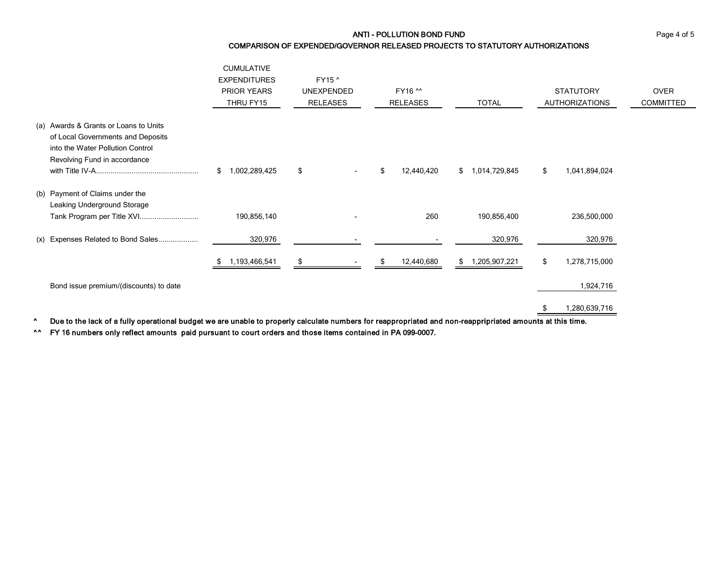ANTI - POLLUTION BOND FUND Page 4 of 5

# COMPARISON OF EXPENDED/GOVERNOR RELEASED PROJECTS TO STATUTORY AUTHORIZATIONS

|                                                                                                                                                | <b>CUMULATIVE</b><br><b>EXPENDITURES</b><br><b>PRIOR YEARS</b><br>THRU FY15 | FY15 ^<br><b>UNEXPENDED</b><br><b>RELEASES</b> | FY16 ^^<br><b>RELEASES</b> | <b>TOTAL</b>        | <b>STATUTORY</b><br><b>AUTHORIZATIONS</b> | <b>OVER</b><br><b>COMMITTED</b> |
|------------------------------------------------------------------------------------------------------------------------------------------------|-----------------------------------------------------------------------------|------------------------------------------------|----------------------------|---------------------|-------------------------------------------|---------------------------------|
| (a) Awards & Grants or Loans to Units<br>of Local Governments and Deposits<br>into the Water Pollution Control<br>Revolving Fund in accordance | ,002,289,425<br>\$                                                          | \$                                             | 12,440,420<br>\$           | 1,014,729,845<br>\$ | 1,041,894,024<br>S                        |                                 |
| (b) Payment of Claims under the<br>Leaking Underground Storage<br>Tank Program per Title XVI                                                   | 190,856,140                                                                 |                                                | 260                        | 190,856,400         | 236,500,000                               |                                 |
| (x) Expenses Related to Bond Sales                                                                                                             | 320,976                                                                     |                                                |                            | 320,976             | 320,976                                   |                                 |
|                                                                                                                                                | ,193,466,541                                                                | \$                                             | 12,440,680                 | ,205,907,221        | 1,278,715,000<br>\$                       |                                 |
| Bond issue premium/(discounts) to date                                                                                                         |                                                                             |                                                |                            |                     | 1,924,716                                 |                                 |

\$ 1,280,639,716

^ Due to the lack of a fully operational budget we are unable to properly calculate numbers for reappropriated and non-reappripriated amounts at this time.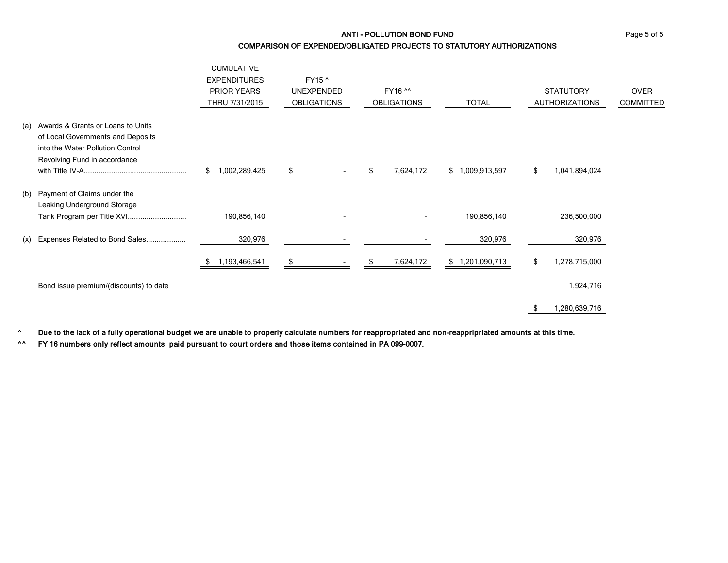ANTI - POLLUTION BOND FUND Page 5 of 5

COMPARISON OF EXPENDED/OBLIGATED PROJECTS TO STATUTORY AUTHORIZATIONS

|                                    |                                                                                                                                            | <b>CUMULATIVE</b><br><b>EXPENDITURES</b><br>PRIOR YEARS<br>THRU 7/31/2015 | FY15 ^<br><b>UNEXPENDED</b><br><b>OBLIGATIONS</b> |    | FY16 ^^<br><b>OBLIGATIONS</b> | <b>TOTAL</b>    | <b>STATUTORY</b><br><b>AUTHORIZATIONS</b> | <b>OVER</b><br><b>COMMITTED</b> |
|------------------------------------|--------------------------------------------------------------------------------------------------------------------------------------------|---------------------------------------------------------------------------|---------------------------------------------------|----|-------------------------------|-----------------|-------------------------------------------|---------------------------------|
| (a)                                | Awards & Grants or Loans to Units<br>of Local Governments and Deposits<br>into the Water Pollution Control<br>Revolving Fund in accordance | 1,002,289,425<br>\$                                                       | \$                                                | \$ | 7,624,172                     | \$1,009,913,597 | \$<br>1,041,894,024                       |                                 |
| Payment of Claims under the<br>(b) | Leaking Underground Storage                                                                                                                |                                                                           |                                                   |    |                               |                 |                                           |                                 |
|                                    | Tank Program per Title XVI                                                                                                                 | 190,856,140                                                               |                                                   |    |                               | 190,856,140     | 236,500,000                               |                                 |
| (x)                                | Expenses Related to Bond Sales                                                                                                             | 320,976                                                                   |                                                   |    |                               | 320,976         | 320,976                                   |                                 |
|                                    |                                                                                                                                            | 1,193,466,541                                                             | S                                                 |    | 7,624,172                     | \$1,201,090,713 | \$<br>1,278,715,000                       |                                 |
|                                    | Bond issue premium/(discounts) to date                                                                                                     |                                                                           |                                                   |    |                               |                 | 1,924,716                                 |                                 |
|                                    |                                                                                                                                            |                                                                           |                                                   |    |                               |                 | 1,280,639,716                             |                                 |

^ Due to the lack of a fully operational budget we are unable to properly calculate numbers for reappropriated and non-reappripriated amounts at this time.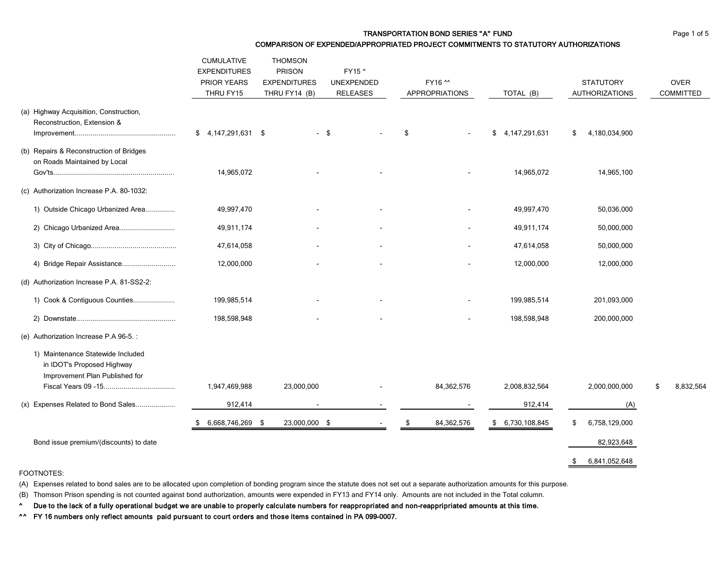COMPARISON OF EXPENDED/APPROPRIATED PROJECT COMMITMENTS TO STATUTORY AUTHORIZATIONS

|                                                                                                   | <b>CUMULATIVE</b>                               | <b>THOMSON</b>                                        |                                                |                                  |                        |                                           |                                 |
|---------------------------------------------------------------------------------------------------|-------------------------------------------------|-------------------------------------------------------|------------------------------------------------|----------------------------------|------------------------|-------------------------------------------|---------------------------------|
|                                                                                                   | <b>EXPENDITURES</b><br>PRIOR YEARS<br>THRU FY15 | <b>PRISON</b><br><b>EXPENDITURES</b><br>THRU FY14 (B) | FY15 ^<br><b>UNEXPENDED</b><br><b>RELEASES</b> | FY16 ^^<br><b>APPROPRIATIONS</b> | TOTAL (B)              | <b>STATUTORY</b><br><b>AUTHORIZATIONS</b> | <b>OVER</b><br><b>COMMITTED</b> |
| (a) Highway Acquisition, Construction,<br>Reconstruction, Extension &                             | $$4,147,291,631$ \$                             |                                                       | - \$                                           | \$                               | 4, 147, 291, 631<br>\$ | 4,180,034,900<br>\$                       |                                 |
| (b) Repairs & Reconstruction of Bridges<br>on Roads Maintained by Local                           | 14,965,072                                      |                                                       |                                                |                                  | 14,965,072             | 14,965,100                                |                                 |
| (c) Authorization Increase P.A. 80-1032:                                                          |                                                 |                                                       |                                                |                                  |                        |                                           |                                 |
| 1) Outside Chicago Urbanized Area                                                                 | 49,997,470                                      |                                                       |                                                |                                  | 49,997,470             | 50,036,000                                |                                 |
| 2) Chicago Urbanized Area                                                                         | 49,911,174                                      |                                                       |                                                |                                  | 49,911,174             | 50,000,000                                |                                 |
|                                                                                                   | 47,614,058                                      |                                                       |                                                |                                  | 47,614,058             | 50,000,000                                |                                 |
| 4) Bridge Repair Assistance                                                                       | 12,000,000                                      |                                                       |                                                |                                  | 12,000,000             | 12,000,000                                |                                 |
| (d) Authorization Increase P.A. 81-SS2-2:                                                         |                                                 |                                                       |                                                |                                  |                        |                                           |                                 |
| 1) Cook & Contiguous Counties                                                                     | 199,985,514                                     |                                                       |                                                |                                  | 199,985,514            | 201,093,000                               |                                 |
|                                                                                                   | 198,598,948                                     |                                                       |                                                |                                  | 198,598,948            | 200,000,000                               |                                 |
| (e) Authorization Increase P.A 96-5. :                                                            |                                                 |                                                       |                                                |                                  |                        |                                           |                                 |
| 1) Maintenance Statewide Included<br>in IDOT's Proposed Highway<br>Improvement Plan Published for | 1,947,469,988                                   | 23,000,000                                            |                                                | 84,362,576                       | 2,008,832,564          | 2,000,000,000                             | 8,832,564<br>\$                 |
| (x) Expenses Related to Bond Sales                                                                | 912,414                                         |                                                       |                                                |                                  | 912,414                |                                           |                                 |
|                                                                                                   |                                                 |                                                       |                                                |                                  |                        | (A)                                       |                                 |
|                                                                                                   | 6,668,746,269 \$                                | 23,000,000 \$                                         |                                                | 84,362,576                       | 6,730,108,845<br>\$    | 6,758,129,000<br>\$                       |                                 |
| Bond issue premium/(discounts) to date                                                            |                                                 |                                                       |                                                |                                  |                        | 82,923,648                                |                                 |
|                                                                                                   |                                                 |                                                       |                                                |                                  |                        | 6,841,052,648<br>\$                       |                                 |

#### FOOTNOTES:

(A) Expenses related to bond sales are to be allocated upon completion of bonding program since the statute does not set out a separate authorization amounts for this purpose.

(B) Thomson Prison spending is not counted against bond authorization, amounts were expended in FY13 and FY14 only. Amounts are not included in the Total column.

^ Due to the lack of a fully operational budget we are unable to properly calculate numbers for reappropriated and non-reappripriated amounts at this time.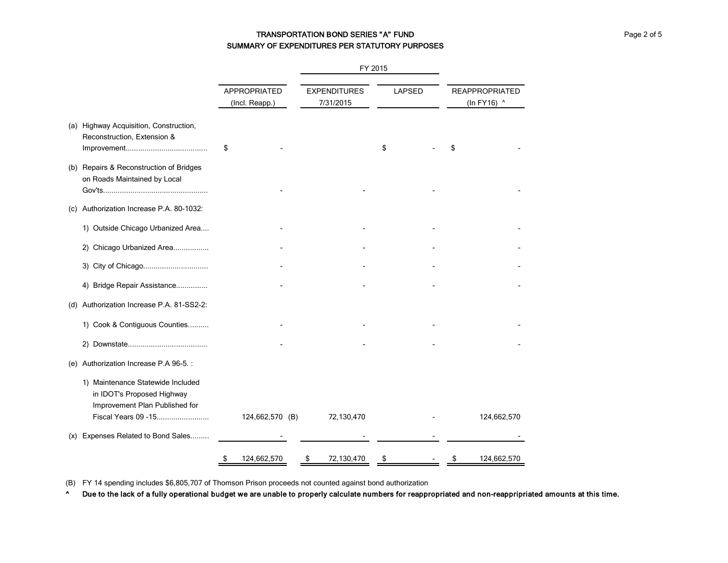# TRANSPORTATION BOND SERIES "A" FUND **FOR A SERIES "A"** FUND Page 2 of 5 SUMMARY OF EXPENDITURES PER STATUTORY PURPOSES

|     |                                                                                                                          |                                       |                                  | FY 2015 |               |                                      |
|-----|--------------------------------------------------------------------------------------------------------------------------|---------------------------------------|----------------------------------|---------|---------------|--------------------------------------|
|     |                                                                                                                          | <b>APPROPRIATED</b><br>(Incl. Reapp.) | <b>EXPENDITURES</b><br>7/31/2015 |         | <b>LAPSED</b> | <b>REAPPROPRIATED</b><br>(In FY16) ^ |
|     | (a) Highway Acquisition, Construction,<br>Reconstruction, Extension &                                                    | \$                                    |                                  | \$      |               |                                      |
|     | (b) Repairs & Reconstruction of Bridges<br>on Roads Maintained by Local                                                  |                                       |                                  |         |               |                                      |
| (C) | Authorization Increase P.A. 80-1032:                                                                                     |                                       |                                  |         |               |                                      |
|     | 1) Outside Chicago Urbanized Area                                                                                        |                                       |                                  |         |               |                                      |
|     | 2) Chicago Urbanized Area                                                                                                |                                       |                                  |         |               |                                      |
|     |                                                                                                                          |                                       |                                  |         |               |                                      |
|     | 4) Bridge Repair Assistance                                                                                              |                                       |                                  |         |               |                                      |
|     | (d) Authorization Increase P.A. 81-SS2-2:                                                                                |                                       |                                  |         |               |                                      |
|     | 1) Cook & Contiguous Counties                                                                                            |                                       |                                  |         |               |                                      |
|     |                                                                                                                          |                                       |                                  |         |               |                                      |
|     | (e) Authorization Increase P.A 96-5.:                                                                                    |                                       |                                  |         |               |                                      |
|     | 1) Maintenance Statewide Included<br>in IDOT's Proposed Highway<br>Improvement Plan Published for<br>Fiscal Years 09 -15 | 124,662,570 (B)                       | 72,130,470                       |         |               | 124,662,570                          |
| (x) | Expenses Related to Bond Sales                                                                                           |                                       |                                  |         |               |                                      |
|     |                                                                                                                          | \$<br>124,662,570                     | \$<br>72,130,470                 | \$      |               | \$<br>124,662,570                    |

(B) FY 14 spending includes \$6,805,707 of Thomson Prison proceeds not counted against bond authorization

^ Due to the lack of a fully operational budget we are unable to properly calculate numbers for reappropriated and non-reappripriated amounts at this time.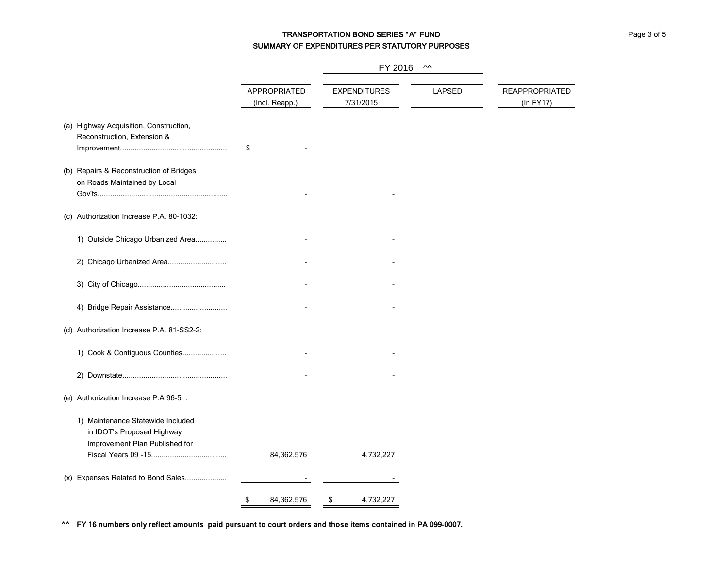# TRANSPORTATION BOND SERIES "A" FUND **Page 3 of 5** Page 3 of 5 SUMMARY OF EXPENDITURES PER STATUTORY PURPOSES

|                                                                                                   |                                | FY 2016                          | $\boldsymbol{\mathsf{M}}$ |                                    |
|---------------------------------------------------------------------------------------------------|--------------------------------|----------------------------------|---------------------------|------------------------------------|
|                                                                                                   | APPROPRIATED<br>(Incl. Reapp.) | <b>EXPENDITURES</b><br>7/31/2015 | LAPSED                    | <b>REAPPROPRIATED</b><br>(In FY17) |
| (a) Highway Acquisition, Construction,<br>Reconstruction, Extension &                             | \$                             |                                  |                           |                                    |
| (b) Repairs & Reconstruction of Bridges<br>on Roads Maintained by Local                           |                                |                                  |                           |                                    |
| (c) Authorization Increase P.A. 80-1032:                                                          |                                |                                  |                           |                                    |
| 1) Outside Chicago Urbanized Area                                                                 |                                |                                  |                           |                                    |
| 2) Chicago Urbanized Area                                                                         |                                |                                  |                           |                                    |
|                                                                                                   |                                |                                  |                           |                                    |
| 4) Bridge Repair Assistance                                                                       |                                |                                  |                           |                                    |
| (d) Authorization Increase P.A. 81-SS2-2:                                                         |                                |                                  |                           |                                    |
| 1) Cook & Contiguous Counties                                                                     |                                |                                  |                           |                                    |
|                                                                                                   |                                |                                  |                           |                                    |
| (e) Authorization Increase P.A 96-5.:                                                             |                                |                                  |                           |                                    |
| 1) Maintenance Statewide Included<br>in IDOT's Proposed Highway<br>Improvement Plan Published for | 84,362,576                     | 4,732,227                        |                           |                                    |
| (x) Expenses Related to Bond Sales                                                                |                                |                                  |                           |                                    |
|                                                                                                   | \$<br>84,362,576               | \$<br>4,732,227                  |                           |                                    |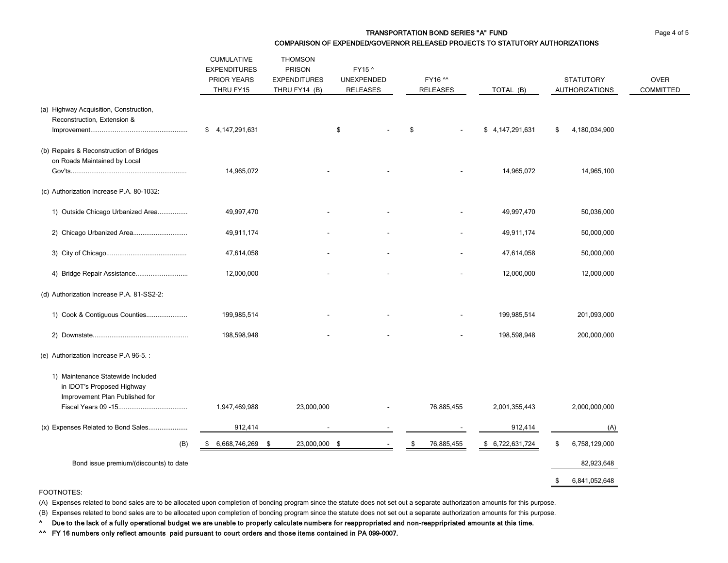#### TRANSPORTATION BOND SERIES "A" FUND **Page 4 of 5** Page 4 of 5 COMPARISON OF EXPENDED/GOVERNOR RELEASED PROJECTS TO STATUTORY AUTHORIZATIONS

|                                                                                                                     | <b>CUMULATIVE</b><br><b>EXPENDITURES</b><br>PRIOR YEARS<br>THRU FY15 | <b>THOMSON</b><br><b>PRISON</b><br><b>EXPENDITURES</b><br>THRU FY14 (B) | FY15 ^<br>UNEXPENDED<br><b>RELEASES</b> | FY16 ^^<br>RELEASES | TOTAL (B)        | <b>STATUTORY</b><br><b>AUTHORIZATIONS</b> | <b>OVER</b><br><b>COMMITTED</b> |
|---------------------------------------------------------------------------------------------------------------------|----------------------------------------------------------------------|-------------------------------------------------------------------------|-----------------------------------------|---------------------|------------------|-------------------------------------------|---------------------------------|
| (a) Highway Acquisition, Construction,<br>Reconstruction, Extension &                                               | \$4,147,291,631                                                      |                                                                         | \$                                      | \$                  | \$4,147,291,631  | 4,180,034,900<br>S                        |                                 |
| (b) Repairs & Reconstruction of Bridges<br>on Roads Maintained by Local<br>(c) Authorization Increase P.A. 80-1032: | 14,965,072                                                           |                                                                         |                                         |                     | 14,965,072       | 14,965,100                                |                                 |
| 1) Outside Chicago Urbanized Area                                                                                   | 49,997,470                                                           |                                                                         |                                         |                     | 49,997,470       | 50,036,000                                |                                 |
| 2) Chicago Urbanized Area                                                                                           | 49,911,174                                                           |                                                                         |                                         |                     | 49,911,174       | 50,000,000                                |                                 |
|                                                                                                                     | 47,614,058                                                           |                                                                         |                                         |                     | 47,614,058       | 50,000,000                                |                                 |
|                                                                                                                     | 12,000,000                                                           |                                                                         |                                         |                     | 12,000,000       | 12,000,000                                |                                 |
| (d) Authorization Increase P.A. 81-SS2-2:                                                                           |                                                                      |                                                                         |                                         |                     |                  |                                           |                                 |
| 1) Cook & Contiguous Counties                                                                                       | 199,985,514                                                          |                                                                         |                                         |                     | 199,985,514      | 201,093,000                               |                                 |
|                                                                                                                     | 198,598,948                                                          |                                                                         |                                         |                     | 198,598,948      | 200,000,000                               |                                 |
| (e) Authorization Increase P.A 96-5. :                                                                              |                                                                      |                                                                         |                                         |                     |                  |                                           |                                 |
| 1) Maintenance Statewide Included<br>in IDOT's Proposed Highway<br>Improvement Plan Published for                   | 1,947,469,988                                                        | 23,000,000                                                              |                                         | 76,885,455          | 2,001,355,443    | 2,000,000,000                             |                                 |
| (x) Expenses Related to Bond Sales                                                                                  | 912,414                                                              | $\overline{\phantom{a}}$                                                | $\blacksquare$                          |                     | 912,414          | (A)                                       |                                 |
| (B)                                                                                                                 | $$6,668,746,269$ \$                                                  | 23,000,000 \$                                                           | $\sim$                                  | 76,885,455<br>\$    | \$ 6,722,631,724 | 6,758,129,000<br>\$                       |                                 |
| Bond issue premium/(discounts) to date                                                                              |                                                                      |                                                                         |                                         |                     |                  | 82,923,648                                |                                 |
|                                                                                                                     |                                                                      |                                                                         |                                         |                     |                  | 6,841,052,648<br>\$                       |                                 |

#### FOOTNOTES:

(A) Expenses related to bond sales are to be allocated upon completion of bonding program since the statute does not set out a separate authorization amounts for this purpose.

(B) Expenses related to bond sales are to be allocated upon completion of bonding program since the statute does not set out a separate authorization amounts for this purpose.

^ Due to the lack of a fully operational budget we are unable to properly calculate numbers for reappropriated and non-reappripriated amounts at this time.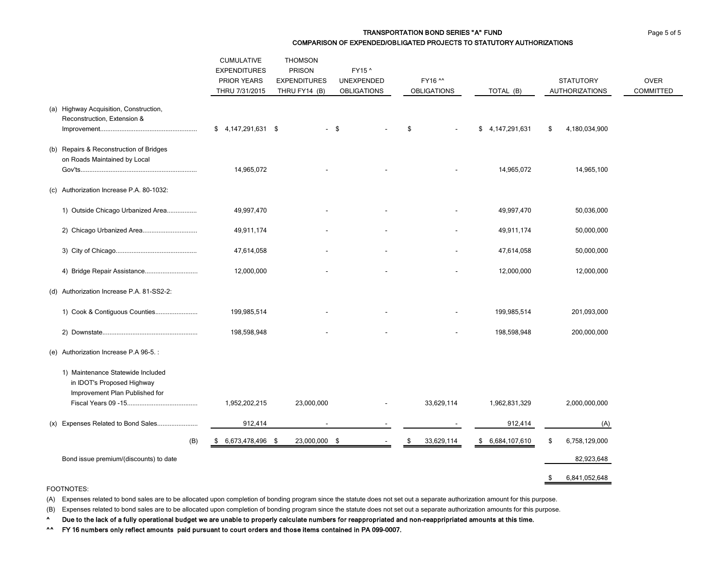#### TRANSPORTATION BOND SERIES "A" FUND **Page 5 of 5** and page 5 of 5 COMPARISON OF EXPENDED/OBLIGATED PROJECTS TO STATUTORY AUTHORIZATIONS

|                                                                                                   | <b>CUMULATIVE</b><br><b>EXPENDITURES</b><br>PRIOR YEARS<br>THRU 7/31/2015 | <b>THOMSON</b><br><b>PRISON</b><br><b>EXPENDITURES</b><br>THRU FY14 (B) | FY15 ^<br>UNEXPENDED<br><b>OBLIGATIONS</b> | FY16 ^^<br><b>OBLIGATIONS</b> | TOTAL (B)        | <b>STATUTORY</b><br><b>AUTHORIZATIONS</b> | <b>OVER</b><br><b>COMMITTED</b> |
|---------------------------------------------------------------------------------------------------|---------------------------------------------------------------------------|-------------------------------------------------------------------------|--------------------------------------------|-------------------------------|------------------|-------------------------------------------|---------------------------------|
| (a) Highway Acquisition, Construction,<br>Reconstruction, Extension &                             | $$4,147,291,631$ \$                                                       |                                                                         | $-$ \$                                     | \$                            | \$4,147,291,631  | \$<br>4,180,034,900                       |                                 |
| (b) Repairs & Reconstruction of Bridges<br>on Roads Maintained by Local                           | 14,965,072                                                                |                                                                         |                                            |                               | 14,965,072       | 14,965,100                                |                                 |
| (c) Authorization Increase P.A. 80-1032:                                                          |                                                                           |                                                                         |                                            |                               |                  |                                           |                                 |
| 1) Outside Chicago Urbanized Area                                                                 | 49,997,470                                                                |                                                                         |                                            |                               | 49,997,470       | 50,036,000                                |                                 |
|                                                                                                   | 49,911,174                                                                |                                                                         |                                            |                               | 49,911,174       | 50,000,000                                |                                 |
|                                                                                                   | 47,614,058                                                                |                                                                         |                                            |                               | 47,614,058       | 50,000,000                                |                                 |
|                                                                                                   | 12,000,000                                                                |                                                                         |                                            |                               | 12,000,000       | 12,000,000                                |                                 |
| (d) Authorization Increase P.A. 81-SS2-2:                                                         |                                                                           |                                                                         |                                            |                               |                  |                                           |                                 |
| 1) Cook & Contiguous Counties                                                                     | 199,985,514                                                               |                                                                         |                                            |                               | 199,985,514      | 201,093,000                               |                                 |
|                                                                                                   | 198,598,948                                                               |                                                                         |                                            |                               | 198,598,948      | 200,000,000                               |                                 |
| (e) Authorization Increase P.A 96-5.:                                                             |                                                                           |                                                                         |                                            |                               |                  |                                           |                                 |
| 1) Maintenance Statewide Included<br>in IDOT's Proposed Highway<br>Improvement Plan Published for |                                                                           |                                                                         |                                            |                               |                  |                                           |                                 |
|                                                                                                   | 1,952,202,215                                                             | 23,000,000                                                              |                                            | 33,629,114                    | 1,962,831,329    | 2,000,000,000                             |                                 |
| (x) Expenses Related to Bond Sales                                                                | 912,414                                                                   |                                                                         |                                            |                               | 912,414          | (A)                                       |                                 |
| (B)                                                                                               | 6,673,478,496 \$<br>\$                                                    | 23,000,000 \$                                                           | $\sim$                                     | 33,629,114<br>\$              | \$ 6,684,107,610 | 6,758,129,000<br>\$                       |                                 |
| Bond issue premium/(discounts) to date                                                            |                                                                           |                                                                         |                                            |                               |                  | 82,923,648                                |                                 |
|                                                                                                   |                                                                           |                                                                         |                                            |                               |                  | 6,841,052,648<br>\$                       |                                 |

FOOTNOTES:

(A) Expenses related to bond sales are to be allocated upon completion of bonding program since the statute does not set out a separate authorization amount for this purpose.

(B) Expenses related to bond sales are to be allocated upon completion of bonding program since the statute does not set out a separate authorization amounts for this purpose.

^ Due to the lack of a fully operational budget we are unable to properly calculate numbers for reappropriated and non-reappripriated amounts at this time.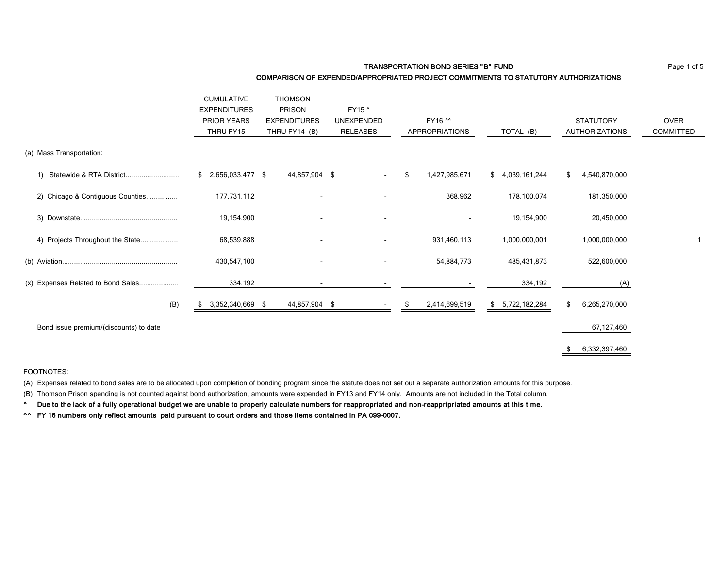**TRANSPORTATION BOND SERIES "B" FUND Page 1 of 5** 

#### COMPARISON OF EXPENDED/APPROPRIATED PROJECT COMMITMENTS TO STATUTORY AUTHORIZATIONS

|                                              | <b>CUMULATIVE</b>      | <b>THOMSON</b>      |                   |                       |                     |                       |                  |
|----------------------------------------------|------------------------|---------------------|-------------------|-----------------------|---------------------|-----------------------|------------------|
|                                              | <b>EXPENDITURES</b>    | <b>PRISON</b>       | FY15 ^            |                       |                     |                       |                  |
|                                              | <b>PRIOR YEARS</b>     | <b>EXPENDITURES</b> | <b>UNEXPENDED</b> | FY16 ^^               |                     | <b>STATUTORY</b>      | <b>OVER</b>      |
|                                              | THRU FY15              | THRU FY14 (B)       | RELEASES          | <b>APPROPRIATIONS</b> | TOTAL (B)           | <b>AUTHORIZATIONS</b> | <b>COMMITTED</b> |
| (a) Mass Transportation:                     |                        |                     |                   |                       |                     |                       |                  |
| Statewide & RTA District<br>$\left( \right)$ | 2,656,033,477 \$<br>\$ | 44,857,904 \$       |                   | 1,427,985,671<br>\$   | 4,039,161,244<br>\$ | 4,540,870,000<br>\$   |                  |
| 2) Chicago & Contiguous Counties             | 177,731,112            |                     |                   | 368,962               | 178,100,074         | 181,350,000           |                  |
|                                              | 19,154,900             |                     | $\sim$            | $\blacksquare$        | 19,154,900          | 20,450,000            |                  |
| 4) Projects Throughout the State             | 68,539,888             |                     | $\blacksquare$    | 931,460,113           | 1,000,000,001       | 1,000,000,000         |                  |
|                                              | 430,547,100            |                     | $\blacksquare$    | 54,884,773            | 485,431,873         | 522,600,000           |                  |
| (x) Expenses Related to Bond Sales           | 334,192                |                     |                   |                       | 334,192             | (A)                   |                  |
| (B)                                          | 3,352,340,669 \$       | 44,857,904 \$       |                   | 2,414,699,519         | 5,722,182,284<br>\$ | \$<br>6,265,270,000   |                  |
| Bond issue premium/(discounts) to date       |                        |                     |                   |                       |                     | 67,127,460            |                  |
|                                              |                        |                     |                   |                       |                     | 6,332,397,460         |                  |

#### FOOTNOTES:

(A) Expenses related to bond sales are to be allocated upon completion of bonding program since the statute does not set out a separate authorization amounts for this purpose.

(B) Thomson Prison spending is not counted against bond authorization, amounts were expended in FY13 and FY14 only. Amounts are not included in the Total column.

^ Due to the lack of a fully operational budget we are unable to properly calculate numbers for reappropriated and non-reappripriated amounts at this time.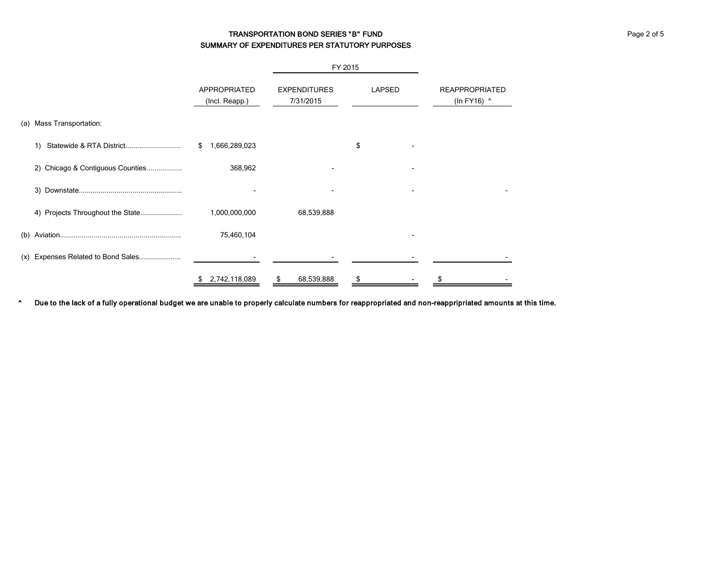# TRANSPORTATION BOND SERIES "B" FUND **FOUND ACCOMPANY PAGE 2 of 5** and 5 and 5 and 5 and 5 and 5 and 5 and 5 and 5 and 5 and 5 and 5 and 5 and 5 and 5 and 5 and 5 and 5 and 5 and 5 and 5 and 5 and 5 and 5 and 5 and 5 and 5 SUMMARY OF EXPENDITURES PER STATUTORY PURPOSES

|                                       |                                |                                  | FY 2015       |                                      |
|---------------------------------------|--------------------------------|----------------------------------|---------------|--------------------------------------|
|                                       | APPROPRIATED<br>(Incl. Reapp.) | <b>EXPENDITURES</b><br>7/31/2015 | <b>LAPSED</b> | <b>REAPPROPRIATED</b><br>(In FY16) ^ |
| Mass Transportation:<br>(a)           |                                |                                  |               |                                      |
| Statewide & RTA District<br>1)        | \$<br>1,666,289,023            |                                  | \$            |                                      |
| 2) Chicago & Contiguous Counties      | 368,962                        |                                  |               |                                      |
|                                       |                                |                                  |               |                                      |
|                                       | 1,000,000,000                  | 68,539,888                       |               |                                      |
| (b)                                   | 75,460,104                     |                                  |               |                                      |
| Expenses Related to Bond Sales<br>(x) |                                |                                  |               |                                      |
|                                       | 2,742,118,089<br>\$            | 68,539,888<br>S                  | \$            |                                      |

^ Due to the lack of a fully operational budget we are unable to properly calculate numbers for reappropriated and non-reappripriated amounts at this time.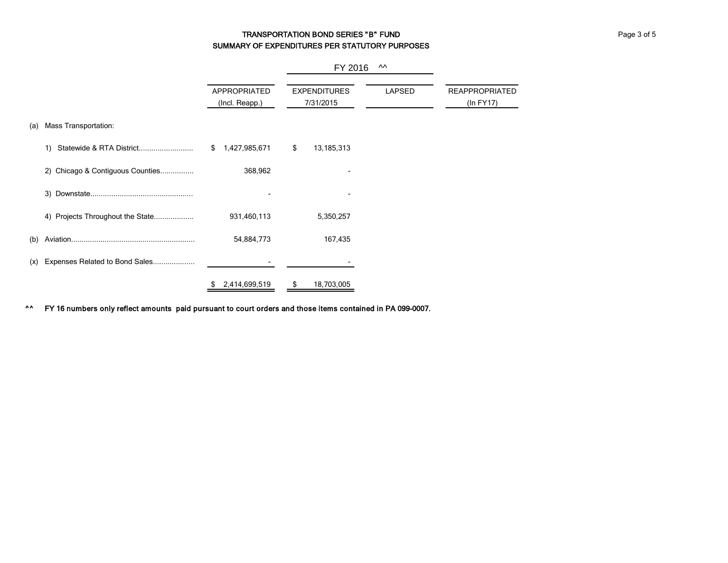# TRANSPORTATION BOND SERIES "B" FUND **FOR SERIES 1999** FUND SUMMARY OF EXPENDITURES PER STATUTORY PURPOSES

|     |                                  |                                | FY 2016                          | ᄊ             |                                    |
|-----|----------------------------------|--------------------------------|----------------------------------|---------------|------------------------------------|
|     |                                  | APPROPRIATED<br>(Incl. Reapp.) | <b>EXPENDITURES</b><br>7/31/2015 | <b>LAPSED</b> | <b>REAPPROPRIATED</b><br>(ln FY17) |
| (a) | Mass Transportation:             |                                |                                  |               |                                    |
|     | 1)                               | 1,427,985,671<br>\$            | \$<br>13,185,313                 |               |                                    |
|     | 2) Chicago & Contiguous Counties | 368,962                        |                                  |               |                                    |
|     |                                  |                                |                                  |               |                                    |
|     | 4) Projects Throughout the State | 931,460,113                    | 5,350,257                        |               |                                    |
| (b) |                                  | 54,884,773                     | 167,435                          |               |                                    |
| (x) | Expenses Related to Bond Sales   |                                |                                  |               |                                    |
|     |                                  | 2,414,699,519                  | 18,703,005                       |               |                                    |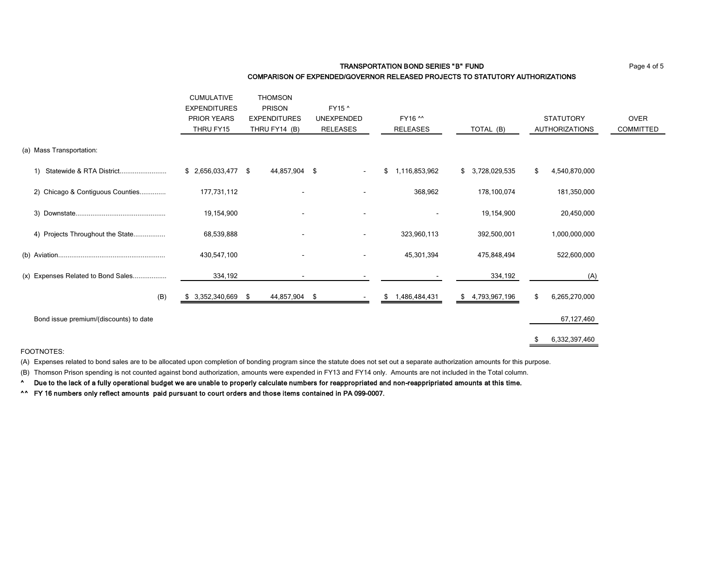#### TRANSPORTATION BOND SERIES "B" FUND **Page 4 of 5** COMPARISON OF EXPENDED/GOVERNOR RELEASED PROJECTS TO STATUTORY AUTHORIZATIONS

|                                        | <b>CUMULATIVE</b>   | <b>THOMSON</b>      |                          |                      |                     |                       |             |
|----------------------------------------|---------------------|---------------------|--------------------------|----------------------|---------------------|-----------------------|-------------|
|                                        | <b>EXPENDITURES</b> | PRISON              | FY15 ^                   |                      |                     |                       |             |
|                                        | PRIOR YEARS         | <b>EXPENDITURES</b> | <b>UNEXPENDED</b>        | FY16 ^^              |                     | <b>STATUTORY</b>      | <b>OVER</b> |
|                                        | THRU FY15           | THRU FY14 (B)       | <b>RELEASES</b>          | RELEASES             | TOTAL (B)           | <b>AUTHORIZATIONS</b> | COMMITTED   |
| (a) Mass Transportation:               |                     |                     |                          |                      |                     |                       |             |
| Statewide & RTA District<br>1)         | $$2,656,033,477$ \$ | 44,857,904 \$       |                          | 1,116,853,962<br>\$  | \$<br>3,728,029,535 | 4,540,870,000<br>\$   |             |
| 2) Chicago & Contiguous Counties       | 177,731,112         |                     |                          | 368,962              | 178,100,074         | 181,350,000           |             |
|                                        | 19,154,900          |                     |                          |                      | 19,154,900          | 20,450,000            |             |
| 4) Projects Throughout the State       | 68,539,888          |                     | $\overline{\phantom{a}}$ | 323,960,113          | 392,500,001         | 1,000,000,000         |             |
|                                        | 430,547,100         |                     |                          | 45,301,394           | 475,848,494         | 522,600,000           |             |
| (x) Expenses Related to Bond Sales     | 334,192             |                     |                          |                      | 334,192             | (A)                   |             |
| (B)                                    | 3,352,340,669 \$    | 44,857,904 \$       |                          | 1,486,484,431<br>\$. | 4,793,967,196<br>\$ | \$<br>6,265,270,000   |             |
| Bond issue premium/(discounts) to date |                     |                     |                          |                      |                     | 67,127,460            |             |
|                                        |                     |                     |                          |                      |                     | 6,332,397,460         |             |

FOOTNOTES:

(A) Expenses related to bond sales are to be allocated upon completion of bonding program since the statute does not set out a separate authorization amounts for this purpose.

(B) Thomson Prison spending is not counted against bond authorization, amounts were expended in FY13 and FY14 only. Amounts are not included in the Total column.

^ Due to the lack of a fully operational budget we are unable to properly calculate numbers for reappropriated and non-reappripriated amounts at this time.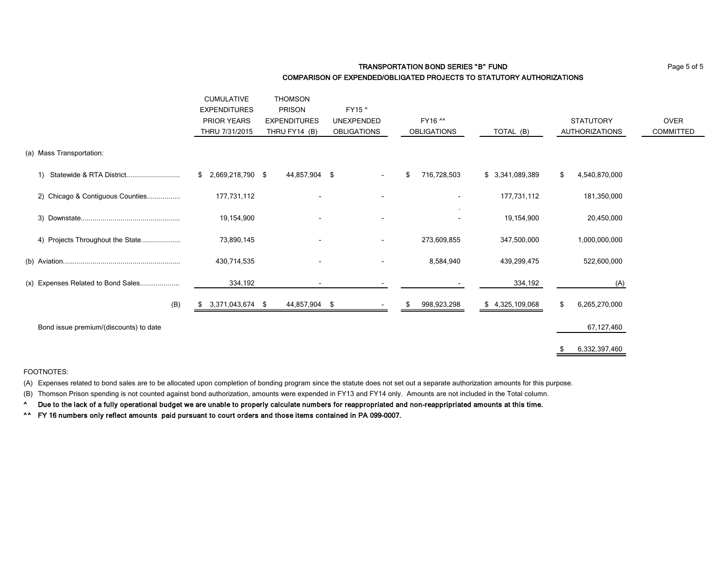### **TRANSPORTATION BOND SERIES "B" FUND Page 5 of 5** COMPARISON OF EXPENDED/OBLIGATED PROJECTS TO STATUTORY AUTHORIZATIONS

|                                        | <b>CUMULATIVE</b>       | <b>THOMSON</b>      |                    |                    |                  |                       |             |
|----------------------------------------|-------------------------|---------------------|--------------------|--------------------|------------------|-----------------------|-------------|
|                                        | <b>EXPENDITURES</b>     | <b>PRISON</b>       | FY15 ^             |                    |                  |                       |             |
|                                        | <b>PRIOR YEARS</b>      | <b>EXPENDITURES</b> | <b>UNEXPENDED</b>  | FY16 ^^            |                  | <b>STATUTORY</b>      | <b>OVER</b> |
|                                        | THRU 7/31/2015          | THRU FY14 (B)       | <b>OBLIGATIONS</b> | <b>OBLIGATIONS</b> | TOTAL (B)        | <b>AUTHORIZATIONS</b> | COMMITTED   |
| (a) Mass Transportation:               |                         |                     |                    |                    |                  |                       |             |
| Statewide & RTA District<br>1)         | 2,669,218,790 \$<br>\$  | 44,857,904 \$       |                    | 716,728,503<br>\$  | \$ 3,341,089,389 | 4,540,870,000<br>\$   |             |
| 2) Chicago & Contiguous Counties       | 177,731,112             |                     |                    |                    | 177,731,112      | 181,350,000           |             |
|                                        | 19,154,900              |                     |                    |                    | 19,154,900       | 20,450,000            |             |
| 4) Projects Throughout the State       | 73,890,145              |                     | $\blacksquare$     | 273,609,855        | 347,500,000      | 1,000,000,000         |             |
|                                        | 430,714,535             |                     |                    | 8,584,940          | 439,299,475      | 522,600,000           |             |
| (x) Expenses Related to Bond Sales     | 334,192                 |                     | ٠                  |                    | 334,192          | (A)                   |             |
| (B)                                    | 3,371,043,674 \$<br>SS. | 44,857,904 \$       |                    | 998,923,298        | \$4,325,109,068  | 6,265,270,000<br>\$   |             |
| Bond issue premium/(discounts) to date |                         |                     |                    |                    |                  | 67,127,460            |             |
|                                        |                         |                     |                    |                    |                  | 6,332,397,460         |             |

#### FOOTNOTES:

(A) Expenses related to bond sales are to be allocated upon completion of bonding program since the statute does not set out a separate authorization amounts for this purpose.

(B) Thomson Prison spending is not counted against bond authorization, amounts were expended in FY13 and FY14 only. Amounts are not included in the Total column.

^ Due to the lack of a fully operational budget we are unable to properly calculate numbers for reappropriated and non-reappripriated amounts at this time.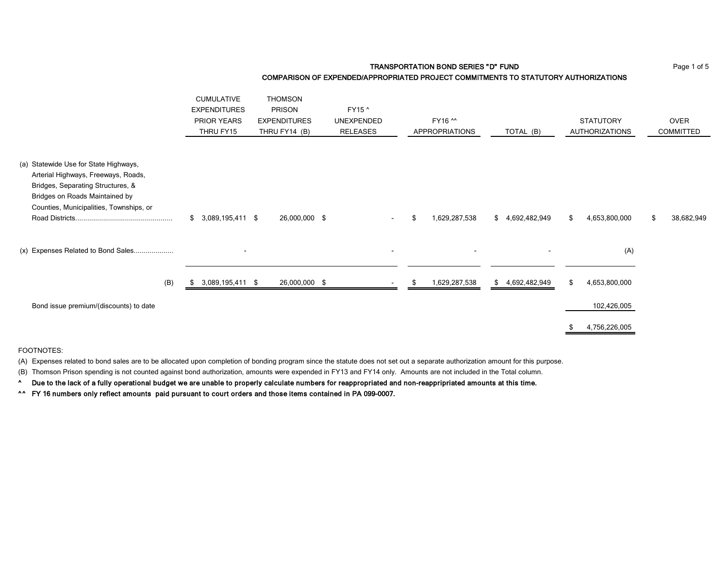TRANSPORTATION BOND SERIES "D" FUND **Page 1 of 5** Page 1 of 5 COMPARISON OF EXPENDED/APPROPRIATED PROJECT COMMITMENTS TO STATUTORY AUTHORIZATIONS

|                                                                                                                                                                                                | <b>CUMULATIVE</b><br><b>EXPENDITURES</b><br><b>PRIOR YEARS</b><br>THRU FY15 | <b>THOMSON</b><br><b>PRISON</b><br><b>EXPENDITURES</b><br>THRU FY14 (B) | FY15 ^<br><b>UNEXPENDED</b><br><b>RELEASES</b> | FY16 ^^<br><b>APPROPRIATIONS</b> | TOTAL (B)           | <b>STATUTORY</b><br><b>AUTHORIZATIONS</b> | <b>OVER</b><br><b>COMMITTED</b> |
|------------------------------------------------------------------------------------------------------------------------------------------------------------------------------------------------|-----------------------------------------------------------------------------|-------------------------------------------------------------------------|------------------------------------------------|----------------------------------|---------------------|-------------------------------------------|---------------------------------|
| (a) Statewide Use for State Highways,<br>Arterial Highways, Freeways, Roads,<br>Bridges, Separating Structures, &<br>Bridges on Roads Maintained by<br>Counties, Municipalities, Townships, or | $$3,089,195,411$ \$                                                         | 26,000,000 \$                                                           | $\sim$                                         | 1,629,287,538                    | \$4,692,482,949     | \$<br>4,653,800,000                       | 38,682,949<br>\$                |
| (x) Expenses Related to Bond Sales                                                                                                                                                             |                                                                             |                                                                         |                                                |                                  |                     | (A)                                       |                                 |
| (B)                                                                                                                                                                                            | 3,089,195,411 \$                                                            | 26,000,000 \$                                                           |                                                | 1,629,287,538                    | 4,692,482,949<br>\$ | \$<br>4,653,800,000                       |                                 |
| Bond issue premium/(discounts) to date                                                                                                                                                         |                                                                             |                                                                         |                                                |                                  |                     | 102,426,005                               |                                 |
|                                                                                                                                                                                                |                                                                             |                                                                         |                                                |                                  |                     | 4,756,226,005                             |                                 |

FOOTNOTES:

(A) Expenses related to bond sales are to be allocated upon completion of bonding program since the statute does not set out a separate authorization amount for this purpose.

(B) Thomson Prison spending is not counted against bond authorization, amounts were expended in FY13 and FY14 only. Amounts are not included in the Total column.

^ Due to the lack of a fully operational budget we are unable to properly calculate numbers for reappropriated and non-reappripriated amounts at this time.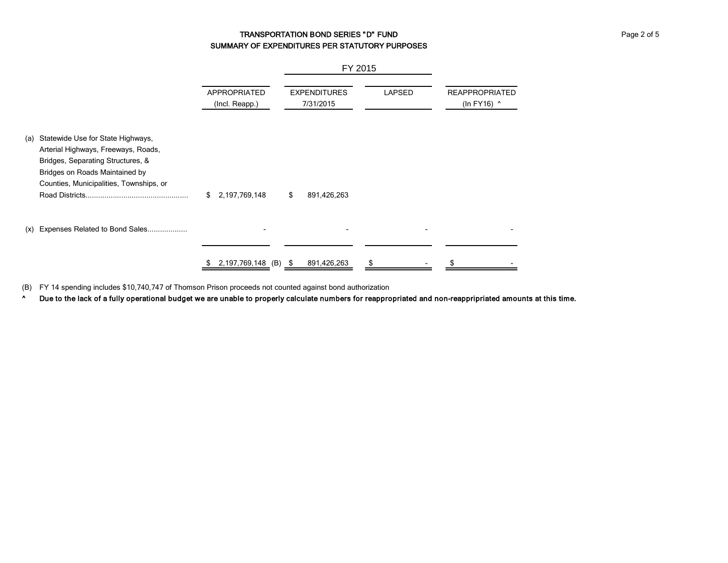# TRANSPORTATION BOND SERIES "D" FUND **FOR A SERIES 1999** FUND SUMMARY OF EXPENDITURES PER STATUTORY PURPOSES

|     |                                                                                                                                                                                            |                                       | FY 2015                          |               |                                      |  |
|-----|--------------------------------------------------------------------------------------------------------------------------------------------------------------------------------------------|---------------------------------------|----------------------------------|---------------|--------------------------------------|--|
|     |                                                                                                                                                                                            | <b>APPROPRIATED</b><br>(Incl. Reapp.) | <b>EXPENDITURES</b><br>7/31/2015 | <b>LAPSED</b> | <b>REAPPROPRIATED</b><br>(In FY16) ^ |  |
| (a) | Statewide Use for State Highways,<br>Arterial Highways, Freeways, Roads,<br>Bridges, Separating Structures, &<br>Bridges on Roads Maintained by<br>Counties, Municipalities, Townships, or | \$<br>2,197,769,148                   | 891,426,263<br>\$                |               |                                      |  |
| (x) | Expenses Related to Bond Sales                                                                                                                                                             |                                       |                                  |               |                                      |  |
|     |                                                                                                                                                                                            | 2,197,769,148 (B) \$<br>S             | 891,426,263                      |               |                                      |  |

(B) FY 14 spending includes \$10,740,747 of Thomson Prison proceeds not counted against bond authorization

^ Due to the lack of a fully operational budget we are unable to properly calculate numbers for reappropriated and non-reappripriated amounts at this time.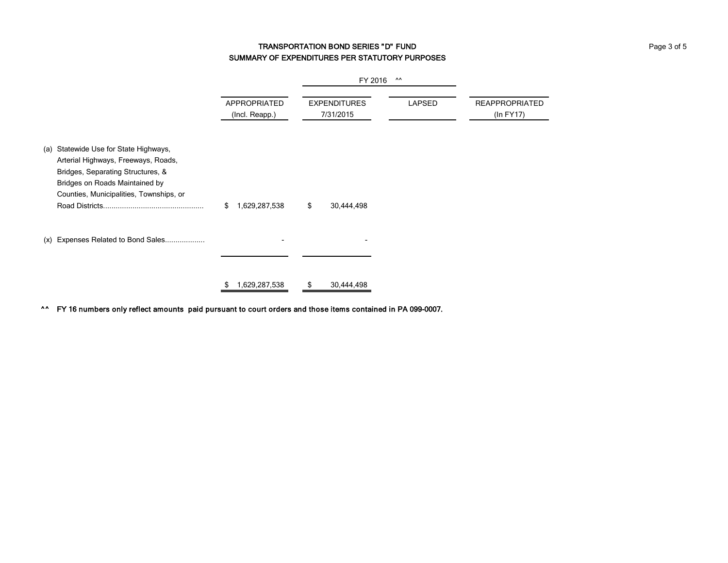# TRANSPORTATION BOND SERIES "D" FUND **FUND Page 3 of 5** Page 3 of 5 SUMMARY OF EXPENDITURES PER STATUTORY PURPOSES

|                                                                                                                                                                                                |                                | FY 2016                          |               |                                    |  |
|------------------------------------------------------------------------------------------------------------------------------------------------------------------------------------------------|--------------------------------|----------------------------------|---------------|------------------------------------|--|
|                                                                                                                                                                                                | APPROPRIATED<br>(Incl. Reapp.) | <b>EXPENDITURES</b><br>7/31/2015 | <b>LAPSED</b> | <b>REAPPROPRIATED</b><br>(In FY17) |  |
| (a) Statewide Use for State Highways,<br>Arterial Highways, Freeways, Roads,<br>Bridges, Separating Structures, &<br>Bridges on Roads Maintained by<br>Counties, Municipalities, Townships, or | 1,629,287,538<br>\$            | \$<br>30,444,498                 |               |                                    |  |
| (x) Expenses Related to Bond Sales                                                                                                                                                             |                                |                                  |               |                                    |  |
|                                                                                                                                                                                                | 1,629,287,538                  | 30,444,498<br>\$.                |               |                                    |  |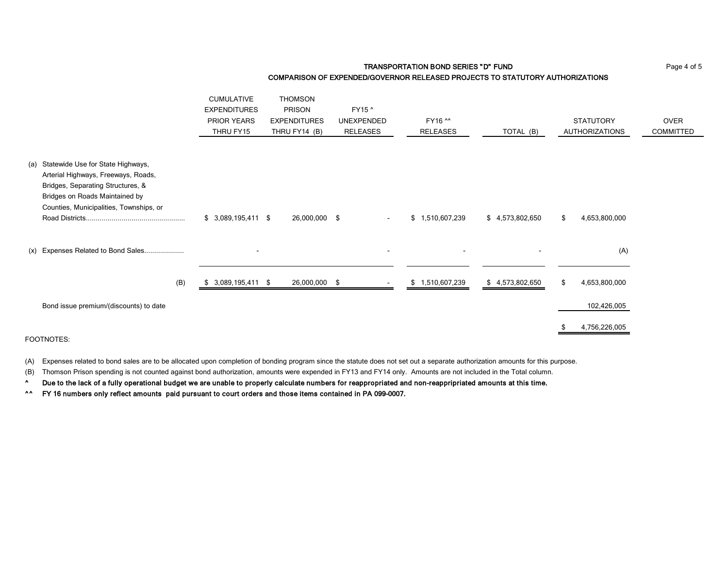#### **TRANSPORTATION BOND SERIES "D" FUND Page 4 of 5** COMPARISON OF EXPENDED/GOVERNOR RELEASED PROJECTS TO STATUTORY AUTHORIZATIONS

|                                                                                                                                                                                                | <b>CUMULATIVE</b><br><b>EXPENDITURES</b><br>PRIOR YEARS<br>THRU FY15 | <b>THOMSON</b><br><b>PRISON</b><br><b>EXPENDITURES</b><br>THRU FY14 (B) | FY15 ^<br><b>UNEXPENDED</b><br><b>RELEASES</b> | FY16 ^^<br><b>RELEASES</b> | TOTAL (B)       | <b>STATUTORY</b><br><b>AUTHORIZATIONS</b> | <b>OVER</b><br><b>COMMITTED</b> |
|------------------------------------------------------------------------------------------------------------------------------------------------------------------------------------------------|----------------------------------------------------------------------|-------------------------------------------------------------------------|------------------------------------------------|----------------------------|-----------------|-------------------------------------------|---------------------------------|
| (a) Statewide Use for State Highways,<br>Arterial Highways, Freeways, Roads,<br>Bridges, Separating Structures, &<br>Bridges on Roads Maintained by<br>Counties, Municipalities, Townships, or |                                                                      |                                                                         |                                                |                            |                 |                                           |                                 |
|                                                                                                                                                                                                | $$3,089,195,411$ \$                                                  | 26,000,000 \$                                                           | $\sim$                                         | \$1,510,607,239            | \$4,573,802,650 | 4,653,800,000<br>\$                       |                                 |
| (x) Expenses Related to Bond Sales                                                                                                                                                             |                                                                      |                                                                         |                                                |                            |                 | (A)                                       |                                 |
| (B)                                                                                                                                                                                            | 3,089,195,411 \$<br>SБ.                                              | 26,000,000 \$                                                           |                                                | \$1,510,607,239            | \$4,573,802,650 | 4,653,800,000<br>\$                       |                                 |
| Bond issue premium/(discounts) to date                                                                                                                                                         |                                                                      |                                                                         |                                                |                            |                 | 102,426,005                               |                                 |
| FOOTNOTES:                                                                                                                                                                                     |                                                                      |                                                                         |                                                |                            |                 | 4,756,226,005                             |                                 |

(A) Expenses related to bond sales are to be allocated upon completion of bonding program since the statute does not set out a separate authorization amounts for this purpose.

(B) Thomson Prison spending is not counted against bond authorization, amounts were expended in FY13 and FY14 only. Amounts are not included in the Total column.

^ Due to the lack of a fully operational budget we are unable to properly calculate numbers for reappropriated and non-reappripriated amounts at this time.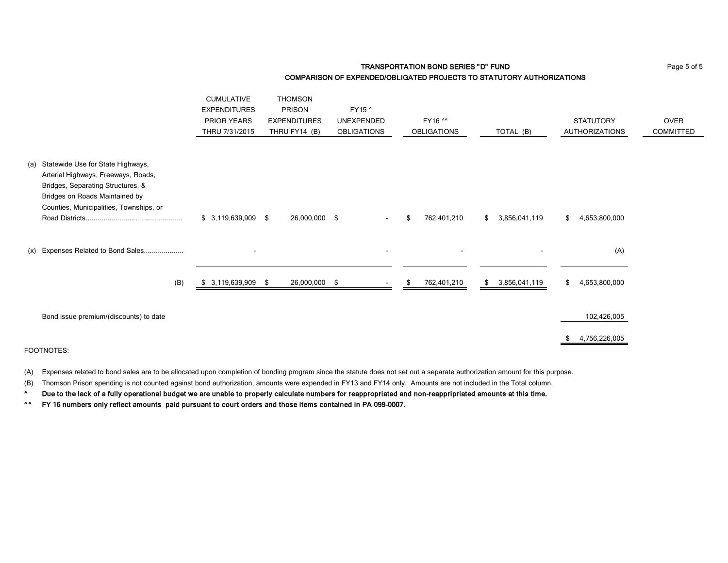TRANSPORTATION BOND SERIES "D" FUND **FUND** Page 5 of 5 COMPARISON OF EXPENDED/OBLIGATED PROJECTS TO STATUTORY AUTHORIZATIONS

|                                                                                                                                                                                                | <b>CUMULATIVE</b><br><b>EXPENDITURES</b><br><b>PRIOR YEARS</b><br>THRU 7/31/2015 | <b>THOMSON</b><br><b>PRISON</b><br><b>EXPENDITURES</b><br>THRU FY14 (B) | FY15 ^<br><b>UNEXPENDED</b><br><b>OBLIGATIONS</b> | FY16 ^^<br><b>OBLIGATIONS</b> | TOTAL (B)           | <b>STATUTORY</b><br><b>AUTHORIZATIONS</b> | <b>OVER</b><br><b>COMMITTED</b> |
|------------------------------------------------------------------------------------------------------------------------------------------------------------------------------------------------|----------------------------------------------------------------------------------|-------------------------------------------------------------------------|---------------------------------------------------|-------------------------------|---------------------|-------------------------------------------|---------------------------------|
| (a) Statewide Use for State Highways,<br>Arterial Highways, Freeways, Roads,<br>Bridges, Separating Structures, &<br>Bridges on Roads Maintained by<br>Counties, Municipalities, Townships, or | $$3,119,639,909$ \$                                                              | 26,000,000 \$                                                           | $\sim$                                            | 762,401,210<br>\$             | 3,856,041,119<br>\$ | 4,653,800,000<br>\$                       |                                 |
| (x) Expenses Related to Bond Sales                                                                                                                                                             | $\overline{\phantom{a}}$                                                         |                                                                         |                                                   | $\sim$                        |                     | (A)                                       |                                 |
| (B)                                                                                                                                                                                            | $$3,119,639,909$ \$                                                              | 26,000,000 \$                                                           | $\overline{\phantom{a}}$                          | 762,401,210<br>\$             | 3,856,041,119<br>\$ | 4,653,800,000<br>\$                       |                                 |
| Bond issue premium/(discounts) to date                                                                                                                                                         |                                                                                  |                                                                         |                                                   |                               |                     | 102,426,005<br>4,756,226,005<br>\$        |                                 |

FOOTNOTES:

(A) Expenses related to bond sales are to be allocated upon completion of bonding program since the statute does not set out a separate authorization amount for this purpose.

(B) Thomson Prison spending is not counted against bond authorization, amounts were expended in FY13 and FY14 only. Amounts are not included in the Total column.

^ Due to the lack of a fully operational budget we are unable to properly calculate numbers for reappropriated and non-reappripriated amounts at this time.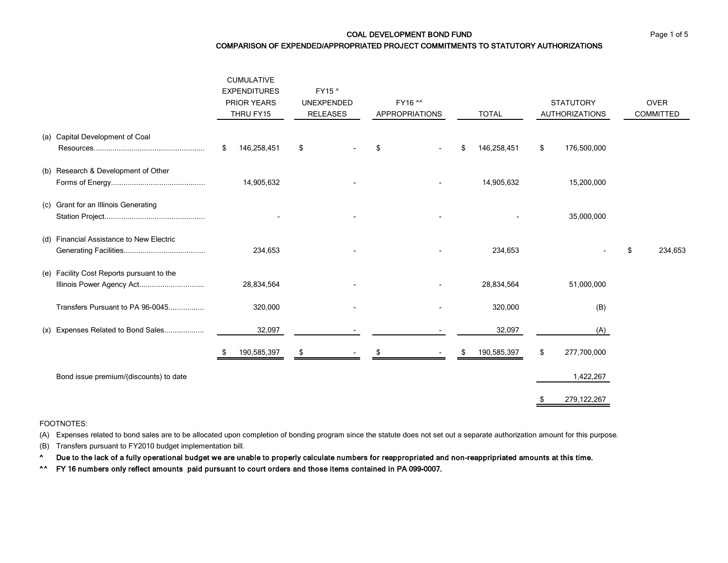COAL DEVELOPMENT BOND FUND **Page 1 of 5** and 5 and 5 and 5 and 5 and 7 and 7 and 7 and 7 and 7 and 7 and 7 and 7 and 7 and 7 and 7 and 7 and 7 and 7 and 7 and 7 and 7 and 7 and 7 and 7 and 7 and 7 and 7 and 7 and 7 and 7 a

COMPARISON OF EXPENDED/APPROPRIATED PROJECT COMMITMENTS TO STATUTORY AUTHORIZATIONS

|  |                                                                        | <b>CUMULATIVE</b><br><b>EXPENDITURES</b><br><b>PRIOR YEARS</b><br>THRU FY15 |  | FY15 ^<br><b>UNEXPENDED</b><br><b>RELEASES</b> |  | FY16 ^^<br><b>APPROPRIATIONS</b> |  | <b>TOTAL</b> |             | <b>STATUTORY</b><br><b>AUTHORIZATIONS</b> |               | <b>OVER</b><br>COMMITTED |
|--|------------------------------------------------------------------------|-----------------------------------------------------------------------------|--|------------------------------------------------|--|----------------------------------|--|--------------|-------------|-------------------------------------------|---------------|--------------------------|
|  | (a) Capital Development of Coal                                        | 146,258,451<br>\$                                                           |  | \$                                             |  | \$                               |  | \$           | 146,258,451 | \$                                        | 176,500,000   |                          |
|  | (b) Research & Development of Other                                    | 14,905,632                                                                  |  |                                                |  |                                  |  |              | 14,905,632  |                                           | 15,200,000    |                          |
|  | (c) Grant for an Illinois Generating                                   |                                                                             |  |                                                |  |                                  |  |              |             |                                           | 35,000,000    |                          |
|  | (d) Financial Assistance to New Electric                               | 234,653                                                                     |  |                                                |  |                                  |  |              | 234,653     |                                           |               | \$<br>234,653            |
|  | (e) Facility Cost Reports pursuant to the<br>Illinois Power Agency Act | 28,834,564                                                                  |  |                                                |  |                                  |  |              | 28,834,564  |                                           | 51,000,000    |                          |
|  | Transfers Pursuant to PA 96-0045                                       | 320,000                                                                     |  |                                                |  |                                  |  |              | 320,000     |                                           | (B)           |                          |
|  | (x) Expenses Related to Bond Sales                                     | 32,097                                                                      |  |                                                |  |                                  |  |              | 32,097      |                                           | (A)           |                          |
|  |                                                                        | 190,585,397                                                                 |  | \$                                             |  | S                                |  |              | 190,585,397 | \$                                        | 277,700,000   |                          |
|  | Bond issue premium/(discounts) to date                                 |                                                                             |  |                                                |  |                                  |  |              |             |                                           | 1,422,267     |                          |
|  |                                                                        |                                                                             |  |                                                |  |                                  |  |              |             | \$                                        | 279, 122, 267 |                          |

#### FOOTNOTES:

(A) Expenses related to bond sales are to be allocated upon completion of bonding program since the statute does not set out a separate authorization amount for this purpose.

(B) Transfers pursuant to FY2010 budget implementation bill.

^ Due to the lack of a fully operational budget we are unable to properly calculate numbers for reappropriated and non-reappripriated amounts at this time.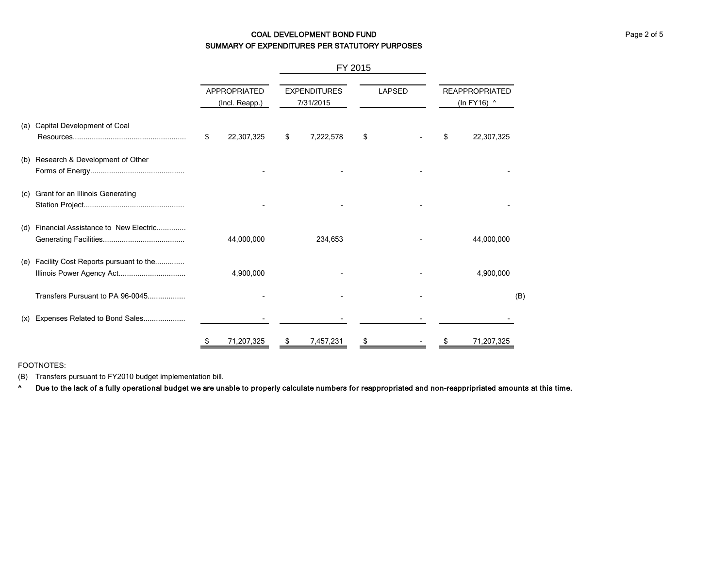# COAL DEVELOPMENT BOND FUND **COAL DEVELOPMENT BOND FUND** SUMMARY OF EXPENDITURES PER STATUTORY PURPOSES

|     |                                                                        |    |                                       |                                  | FY 2015   |               |  |                                      |            |     |
|-----|------------------------------------------------------------------------|----|---------------------------------------|----------------------------------|-----------|---------------|--|--------------------------------------|------------|-----|
|     |                                                                        |    | <b>APPROPRIATED</b><br>(Incl. Reapp.) | <b>EXPENDITURES</b><br>7/31/2015 |           | <b>LAPSED</b> |  | <b>REAPPROPRIATED</b><br>(In FY16) ^ |            |     |
| (a) | Capital Development of Coal                                            | \$ | 22,307,325                            | \$                               | 7,222,578 | \$            |  | \$                                   | 22,307,325 |     |
| (b) | Research & Development of Other                                        |    |                                       |                                  |           |               |  |                                      |            |     |
| (c) | Grant for an Illinois Generating                                       |    |                                       |                                  |           |               |  |                                      |            |     |
| (d) | Financial Assistance to New Electric                                   |    | 44,000,000                            |                                  | 234,653   |               |  |                                      | 44,000,000 |     |
|     | (e) Facility Cost Reports pursuant to the<br>Illinois Power Agency Act |    | 4,900,000                             |                                  |           |               |  |                                      | 4,900,000  |     |
|     | Transfers Pursuant to PA 96-0045                                       |    |                                       |                                  |           |               |  |                                      |            | (B) |
| (x) | Expenses Related to Bond Sales                                         |    |                                       |                                  |           |               |  |                                      |            |     |
|     |                                                                        | \$ | 71,207,325                            | \$                               | 7,457,231 | \$            |  | S                                    | 71,207,325 |     |

FOOTNOTES:

(B) Transfers pursuant to FY2010 budget implementation bill.

^ Due to the lack of a fully operational budget we are unable to properly calculate numbers for reappropriated and non-reappripriated amounts at this time.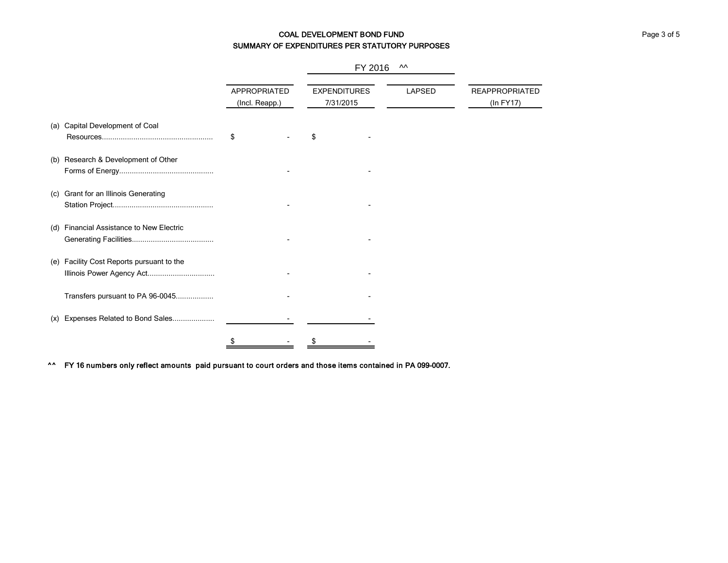# COAL DEVELOPMENT BOND FUND **COAL DEVELOPMENT BOND** FUND SUMMARY OF EXPENDITURES PER STATUTORY PURPOSES

|     |                                                                    |                                       |  | FY 2016                          |               |                                    |
|-----|--------------------------------------------------------------------|---------------------------------------|--|----------------------------------|---------------|------------------------------------|
|     |                                                                    | <b>APPROPRIATED</b><br>(Incl. Reapp.) |  | <b>EXPENDITURES</b><br>7/31/2015 | <b>LAPSED</b> | <b>REAPPROPRIATED</b><br>(ln FY17) |
|     | (a) Capital Development of Coal                                    | \$                                    |  |                                  |               |                                    |
|     | (b) Research & Development of Other                                |                                       |  |                                  |               |                                    |
| (c) | Grant for an Illinois Generating                                   |                                       |  |                                  |               |                                    |
| (d) | Financial Assistance to New Electric                               |                                       |  |                                  |               |                                    |
| (e) | Facility Cost Reports pursuant to the<br>Illinois Power Agency Act |                                       |  |                                  |               |                                    |
|     | Transfers pursuant to PA 96-0045                                   |                                       |  |                                  |               |                                    |
| (x) | Expenses Related to Bond Sales                                     |                                       |  |                                  |               |                                    |
|     |                                                                    | \$                                    |  |                                  |               |                                    |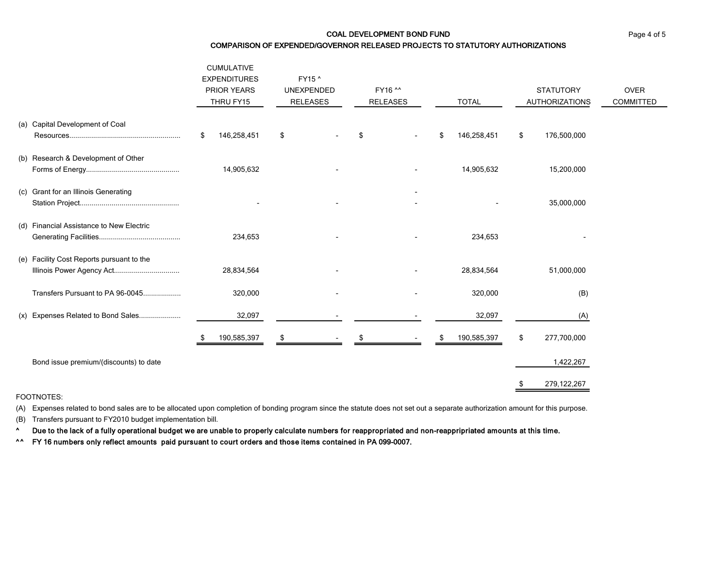# COAL DEVELOPMENT BOND FUND **Page 4 of 5** COMPARISON OF EXPENDED/GOVERNOR RELEASED PROJECTS TO STATUTORY AUTHORIZATIONS

|     |                                                                        | <b>CUMULATIVE</b><br><b>EXPENDITURES</b><br><b>PRIOR YEARS</b><br>THRU FY15 |         | FY15 ^<br><b>UNEXPENDED</b><br><b>RELEASES</b> |  | FY16 ^^<br><b>RELEASES</b> |  | <b>TOTAL</b> |             | <b>STATUTORY</b><br><b>AUTHORIZATIONS</b> |             | <b>OVER</b><br><b>COMMITTED</b> |
|-----|------------------------------------------------------------------------|-----------------------------------------------------------------------------|---------|------------------------------------------------|--|----------------------------|--|--------------|-------------|-------------------------------------------|-------------|---------------------------------|
|     | (a) Capital Development of Coal                                        | \$<br>146,258,451                                                           |         | \$                                             |  | \$                         |  | \$           | 146,258,451 | \$                                        | 176,500,000 |                                 |
|     | (b) Research & Development of Other                                    | 14,905,632                                                                  |         |                                                |  |                            |  |              | 14,905,632  |                                           | 15,200,000  |                                 |
|     | (c) Grant for an Illinois Generating                                   |                                                                             |         |                                                |  |                            |  |              |             |                                           | 35,000,000  |                                 |
| (d) | <b>Financial Assistance to New Electric</b>                            |                                                                             | 234,653 |                                                |  |                            |  |              | 234,653     |                                           |             |                                 |
|     | (e) Facility Cost Reports pursuant to the<br>Illinois Power Agency Act | 28,834,564                                                                  |         |                                                |  |                            |  |              | 28,834,564  |                                           | 51,000,000  |                                 |
|     | Transfers Pursuant to PA 96-0045                                       |                                                                             | 320,000 |                                                |  |                            |  |              | 320,000     |                                           | (B)         |                                 |
|     | (x) Expenses Related to Bond Sales                                     |                                                                             | 32,097  |                                                |  |                            |  |              | 32,097      |                                           | (A)         |                                 |
|     |                                                                        | 190,585,397                                                                 |         | æ                                              |  |                            |  |              | 190,585,397 | \$                                        | 277,700,000 |                                 |
|     | Bond issue premium/(discounts) to date                                 |                                                                             |         |                                                |  |                            |  |              |             |                                           | 1,422,267   |                                 |
|     |                                                                        |                                                                             |         |                                                |  |                            |  |              |             |                                           | 279,122,267 |                                 |

FOOTNOTES:

(A) Expenses related to bond sales are to be allocated upon completion of bonding program since the statute does not set out a separate authorization amount for this purpose.

(B) Transfers pursuant to FY2010 budget implementation bill.

^ Due to the lack of a fully operational budget we are unable to properly calculate numbers for reappropriated and non-reappripriated amounts at this time.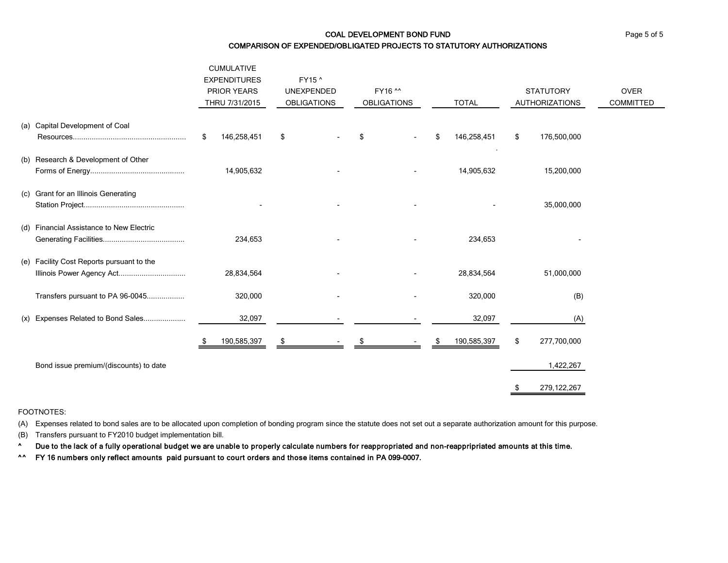# COAL DEVELOPMENT BOND FUND **Page 5 of 5**

COMPARISON OF EXPENDED/OBLIGATED PROJECTS TO STATUTORY AUTHORIZATIONS

|     |                                                                        | <b>CUMULATIVE</b><br><b>EXPENDITURES</b><br><b>PRIOR YEARS</b><br>THRU 7/31/2015 |    | FY15 ^<br><b>UNEXPENDED</b><br><b>OBLIGATIONS</b> |    | FY16 ^^<br><b>OBLIGATIONS</b> | <b>TOTAL</b> |             | <b>STATUTORY</b><br><b>AUTHORIZATIONS</b> |               | <b>OVER</b><br><b>COMMITTED</b> |
|-----|------------------------------------------------------------------------|----------------------------------------------------------------------------------|----|---------------------------------------------------|----|-------------------------------|--------------|-------------|-------------------------------------------|---------------|---------------------------------|
|     | (a) Capital Development of Coal                                        | \$<br>146,258,451                                                                | \$ |                                                   | \$ |                               | \$           | 146,258,451 | \$                                        | 176,500,000   |                                 |
|     | (b) Research & Development of Other                                    | 14,905,632                                                                       |    |                                                   |    |                               |              | 14,905,632  |                                           | 15,200,000    |                                 |
| (c) | Grant for an Illinois Generating                                       |                                                                                  |    |                                                   |    |                               |              |             |                                           | 35,000,000    |                                 |
| (d) | <b>Financial Assistance to New Electric</b>                            | 234,653                                                                          |    |                                                   |    |                               |              | 234,653     |                                           |               |                                 |
|     | (e) Facility Cost Reports pursuant to the<br>Illinois Power Agency Act | 28,834,564                                                                       |    |                                                   |    |                               |              | 28,834,564  |                                           | 51,000,000    |                                 |
|     | Transfers pursuant to PA 96-0045                                       | 320,000                                                                          |    |                                                   |    |                               |              | 320,000     |                                           | (B)           |                                 |
|     | (x) Expenses Related to Bond Sales                                     | 32,097                                                                           |    |                                                   |    |                               |              | 32,097      |                                           | (A)           |                                 |
|     |                                                                        | 190,585,397                                                                      |    |                                                   |    |                               |              | 190,585,397 | \$                                        | 277,700,000   |                                 |
|     | Bond issue premium/(discounts) to date                                 |                                                                                  |    |                                                   |    |                               |              |             |                                           | 1,422,267     |                                 |
|     |                                                                        |                                                                                  |    |                                                   |    |                               |              |             |                                           | 279, 122, 267 |                                 |

#### FOOTNOTES:

(A) Expenses related to bond sales are to be allocated upon completion of bonding program since the statute does not set out a separate authorization amount for this purpose.

(B) Transfers pursuant to FY2010 budget implementation bill.

^ Due to the lack of a fully operational budget we are unable to properly calculate numbers for reappropriated and non-reappripriated amounts at this time.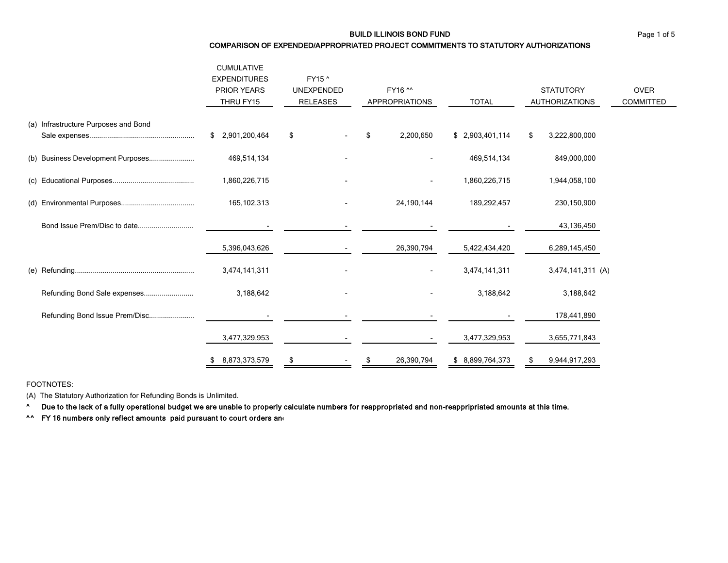BUILD ILLINOIS BOND FUND Page 1 of 5

#### COMPARISON OF EXPENDED/APPROPRIATED PROJECT COMMITMENTS TO STATUTORY AUTHORIZATIONS

|                                      | <b>CUMULATIVE</b><br><b>EXPENDITURES</b><br><b>PRIOR YEARS</b><br>THRU FY15 | FY15 ^<br><b>UNEXPENDED</b><br><b>RELEASES</b> | FY16 ^^<br><b>APPROPRIATIONS</b> | <b>TOTAL</b>     | <b>STATUTORY</b><br><b>AUTHORIZATIONS</b> | <b>OVER</b><br><b>COMMITTED</b> |
|--------------------------------------|-----------------------------------------------------------------------------|------------------------------------------------|----------------------------------|------------------|-------------------------------------------|---------------------------------|
| (a) Infrastructure Purposes and Bond | \$ 2,901,200,464                                                            | \$                                             | \$<br>2,200,650                  | \$2,903,401,114  | 3,222,800,000<br>\$                       |                                 |
| (b) Business Development Purposes    | 469,514,134                                                                 |                                                |                                  | 469,514,134      | 849,000,000                               |                                 |
|                                      | 1,860,226,715                                                               |                                                | $\overline{\phantom{a}}$         | 1,860,226,715    | 1,944,058,100                             |                                 |
|                                      | 165, 102, 313                                                               |                                                | 24,190,144                       | 189,292,457      | 230,150,900                               |                                 |
| Bond Issue Prem/Disc to date         |                                                                             |                                                |                                  |                  | 43,136,450                                |                                 |
|                                      | 5,396,043,626                                                               |                                                | 26,390,794                       | 5,422,434,420    | 6,289,145,450                             |                                 |
|                                      | 3,474,141,311                                                               |                                                | $\overline{\phantom{0}}$         | 3,474,141,311    | 3,474,141,311 (A)                         |                                 |
| Refunding Bond Sale expenses         | 3,188,642                                                                   |                                                |                                  | 3,188,642        | 3,188,642                                 |                                 |
| Refunding Bond Issue Prem/Disc       |                                                                             |                                                |                                  |                  | 178,441,890                               |                                 |
|                                      | 3,477,329,953                                                               |                                                |                                  | 3,477,329,953    | 3,655,771,843                             |                                 |
|                                      | 8,873,373,579<br>\$.                                                        | \$                                             | 26,390,794                       | \$ 8,899,764,373 | 9,944,917,293<br>\$                       |                                 |

FOOTNOTES:

(A) The Statutory Authorization for Refunding Bonds is Unlimited.

^ Due to the lack of a fully operational budget we are unable to properly calculate numbers for reappropriated and non-reappripriated amounts at this time.

**^^** FY 16 numbers only reflect amounts paid pursuant to court orders and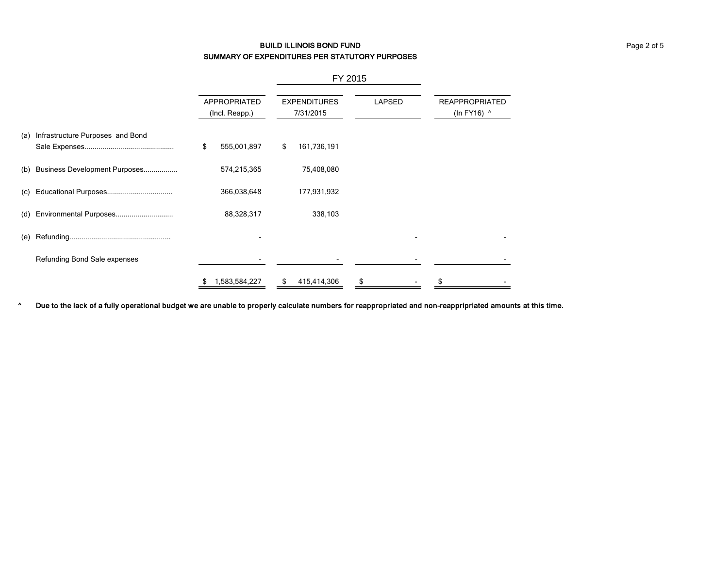# BUILD ILLINOIS BOND FUND Page 2 of 5 SUMMARY OF EXPENDITURES PER STATUTORY PURPOSES

|     |                                   |                                       |               | FY 2015                          |             |               |  |                                      |  |
|-----|-----------------------------------|---------------------------------------|---------------|----------------------------------|-------------|---------------|--|--------------------------------------|--|
|     |                                   | <b>APPROPRIATED</b><br>(Incl. Reapp.) |               | <b>EXPENDITURES</b><br>7/31/2015 |             | <b>LAPSED</b> |  | <b>REAPPROPRIATED</b><br>(In FY16) ^ |  |
| (a) | Infrastructure Purposes and Bond  | \$                                    | 555,001,897   | \$                               | 161,736,191 |               |  |                                      |  |
|     | (b) Business Development Purposes |                                       | 574,215,365   |                                  | 75,408,080  |               |  |                                      |  |
|     |                                   |                                       | 366,038,648   |                                  | 177,931,932 |               |  |                                      |  |
| (d) | Environmental Purposes            |                                       | 88,328,317    |                                  | 338,103     |               |  |                                      |  |
| (e) |                                   |                                       |               |                                  |             |               |  |                                      |  |
|     | Refunding Bond Sale expenses      |                                       |               |                                  |             |               |  |                                      |  |
|     |                                   | \$                                    | 1,583,584,227 | \$                               | 415,414,306 | \$            |  | \$                                   |  |

^ Due to the lack of a fully operational budget we are unable to properly calculate numbers for reappropriated and non-reappripriated amounts at this time.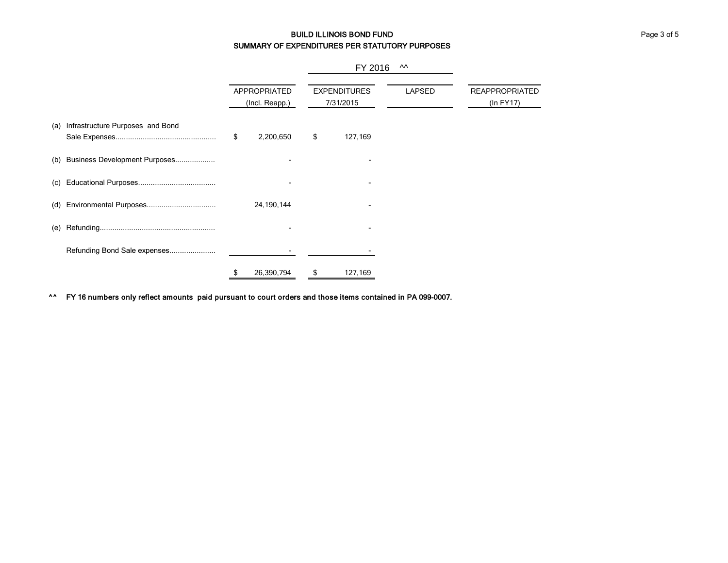# BUILD ILLINOIS BOND FUND Page 3 of 5 SUMMARY OF EXPENDITURES PER STATUTORY PURPOSES

|     |                                  | <b>APPROPRIATED</b><br>(Incl. Reapp.) |            |                                  | FY 2016 |               |                                    |
|-----|----------------------------------|---------------------------------------|------------|----------------------------------|---------|---------------|------------------------------------|
|     |                                  |                                       |            | <b>EXPENDITURES</b><br>7/31/2015 |         | <b>LAPSED</b> | <b>REAPPROPRIATED</b><br>(ln FY17) |
| (a) | Infrastructure Purposes and Bond | \$                                    | 2,200,650  | \$                               | 127,169 |               |                                    |
| (b) | Business Development Purposes    |                                       |            |                                  |         |               |                                    |
| (c) |                                  |                                       |            |                                  |         |               |                                    |
| (d) |                                  |                                       | 24,190,144 |                                  |         |               |                                    |
| (e) |                                  |                                       |            |                                  |         |               |                                    |
|     | Refunding Bond Sale expenses     |                                       |            |                                  |         |               |                                    |
|     |                                  | \$                                    | 26,390,794 | \$                               | 127,169 |               |                                    |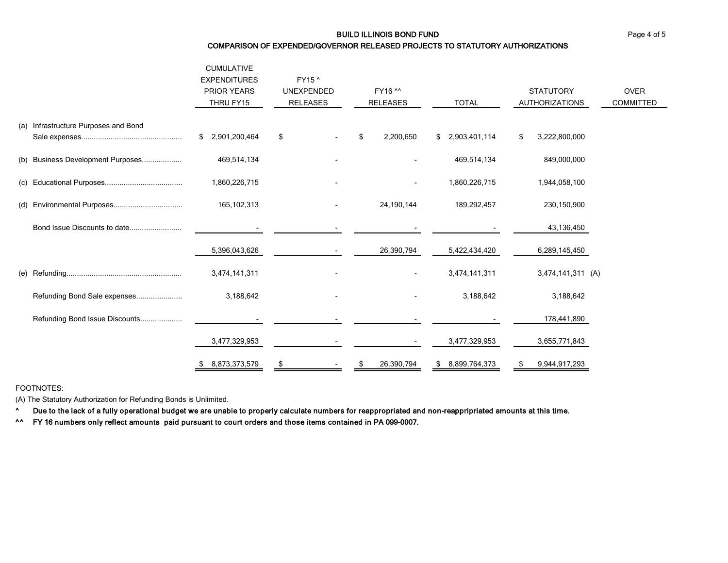#### BUILD ILLINOIS BOND FUND Page 4 of 5

#### COMPARISON OF EXPENDED/GOVERNOR RELEASED PROJECTS TO STATUTORY AUTHORIZATIONS

|     |                                      | <b>CUMULATIVE</b><br><b>EXPENDITURES</b><br><b>PRIOR YEARS</b><br>THRU FY15 | FY15 ^<br><b>UNEXPENDED</b><br><b>RELEASES</b> | FY16 ^^<br><b>RELEASES</b> | <b>TOTAL</b>        | <b>STATUTORY</b><br><b>AUTHORIZATIONS</b> | <b>OVER</b><br><b>COMMITTED</b> |
|-----|--------------------------------------|-----------------------------------------------------------------------------|------------------------------------------------|----------------------------|---------------------|-------------------------------------------|---------------------------------|
|     | (a) Infrastructure Purposes and Bond |                                                                             |                                                |                            |                     |                                           |                                 |
|     |                                      | 2,901,200,464<br>\$                                                         | \$                                             | \$<br>2,200,650            | 2,903,401,114<br>\$ | \$<br>3,222,800,000                       |                                 |
| (b) | Business Development Purposes        | 469,514,134                                                                 |                                                |                            | 469,514,134         | 849,000,000                               |                                 |
| (c) |                                      | 1,860,226,715                                                               |                                                | $\overline{\phantom{a}}$   | 1,860,226,715       | 1,944,058,100                             |                                 |
| (d) |                                      | 165,102,313                                                                 |                                                | 24, 190, 144               | 189,292,457         | 230,150,900                               |                                 |
|     | Bond Issue Discounts to date         |                                                                             |                                                |                            |                     | 43,136,450                                |                                 |
|     |                                      | 5,396,043,626                                                               |                                                | 26,390,794                 | 5,422,434,420       | 6,289,145,450                             |                                 |
| (e) |                                      | 3,474,141,311                                                               |                                                |                            | 3,474,141,311       | 3,474,141,311 (A)                         |                                 |
|     | Refunding Bond Sale expenses         | 3,188,642                                                                   |                                                |                            | 3,188,642           | 3,188,642                                 |                                 |
|     | Refunding Bond Issue Discounts       |                                                                             |                                                |                            |                     | 178,441,890                               |                                 |
|     |                                      | 3,477,329,953                                                               |                                                |                            | 3,477,329,953       | 3,655,771,843                             |                                 |
|     |                                      | 8,873,373,579<br>\$                                                         | \$                                             | 26,390,794<br>\$           | 8,899,764,373<br>\$ | 9,944,917,293<br>\$                       |                                 |

FOOTNOTES:

(A) The Statutory Authorization for Refunding Bonds is Unlimited.

^ Due to the lack of a fully operational budget we are unable to properly calculate numbers for reappropriated and non-reappripriated amounts at this time.